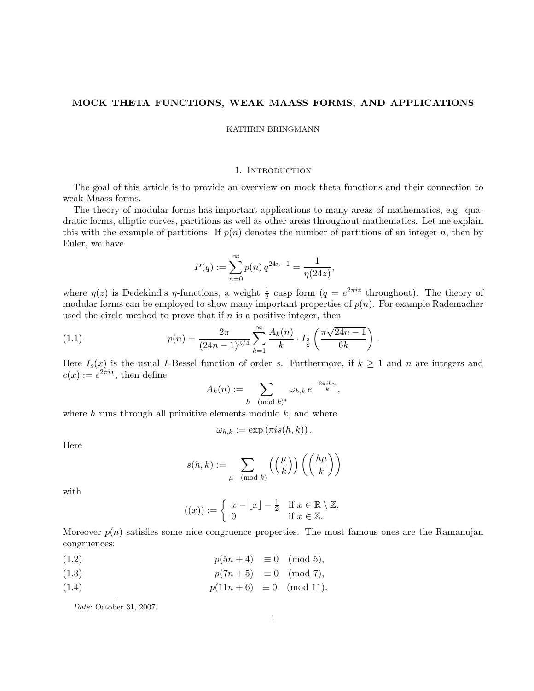# MOCK THETA FUNCTIONS, WEAK MAASS FORMS, AND APPLICATIONS

KATHRIN BRINGMANN

## 1. INTRODUCTION

The goal of this article is to provide an overview on mock theta functions and their connection to weak Maass forms.

The theory of modular forms has important applications to many areas of mathematics, e.g. quadratic forms, elliptic curves, partitions as well as other areas throughout mathematics. Let me explain this with the example of partitions. If  $p(n)$  denotes the number of partitions of an integer n, then by Euler, we have

$$
P(q) := \sum_{n=0}^{\infty} p(n) q^{24n-1} = \frac{1}{\eta(24z)},
$$

where  $\eta(z)$  is Dedekind's  $\eta$ -functions, a weight  $\frac{1}{2}$  cusp form  $(q = e^{2\pi i z}$  throughout). The theory of modular forms can be employed to show many important properties of  $p(n)$ . For example Rademacher used the circle method to prove that if  $n$  is a positive integer, then

(1.1) 
$$
p(n) = \frac{2\pi}{(24n-1)^{3/4}} \sum_{k=1}^{\infty} \frac{A_k(n)}{k} \cdot I_{\frac{3}{2}}\left(\frac{\pi\sqrt{24n-1}}{6k}\right)
$$

Here  $I_s(x)$  is the usual I-Bessel function of order s. Furthermore, if  $k \geq 1$  and n are integers and  $e(x) := e^{2\pi ix}$ , then define

.

$$
A_k(n) := \sum_{h \pmod{k}} \omega_{h,k} e^{-\frac{2\pi i h n}{k}},
$$

where  $h$  runs through all primitive elements modulo  $k$ , and where

$$
\omega_{h,k} := \exp(\pi i s(h,k)).
$$

Here

$$
s(h,k) := \sum_{\mu \pmod{k}} \left( \left( \frac{\mu}{k} \right) \right) \left( \left( \frac{h\mu}{k} \right) \right)
$$

with

$$
((x)) := \begin{cases} x - \lfloor x \rfloor - \frac{1}{2} & \text{if } x \in \mathbb{R} \setminus \mathbb{Z}, \\ 0 & \text{if } x \in \mathbb{Z}. \end{cases}
$$

Moreover  $p(n)$  satisfies some nice congruence properties. The most famous ones are the Ramanujan congruences:

$$
(1.2) \t\t\t\t p(5n+4) \equiv 0 \pmod{5},
$$

$$
(1.3) \t\t\t\t p(7n+5) \equiv 0 \pmod{7},
$$

(1.4) 
$$
p(11n+6) \equiv 0 \pmod{11}
$$
.

Date: October 31, 2007.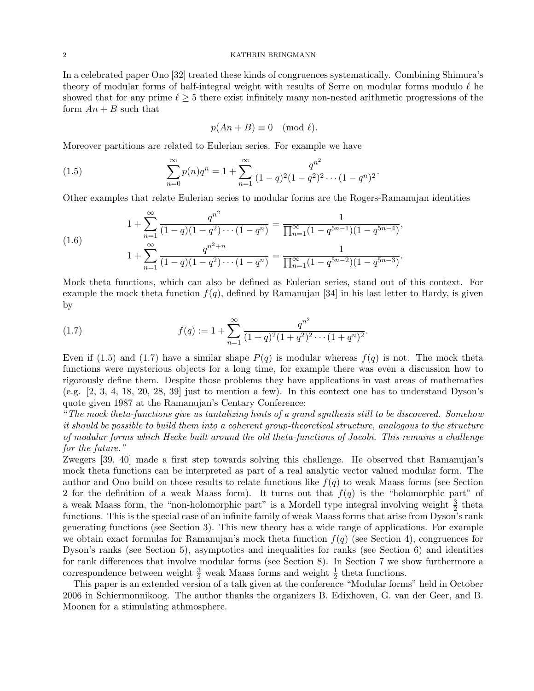In a celebrated paper Ono [32] treated these kinds of congruences systematically. Combining Shimura's theory of modular forms of half-integral weight with results of Serre on modular forms modulo  $\ell$  he showed that for any prime  $\ell \geq 5$  there exist infinitely many non-nested arithmetic progressions of the form  $An + B$  such that

$$
p(An + B) \equiv 0 \pmod{\ell}.
$$

Moreover partitions are related to Eulerian series. For example we have

(1.5) 
$$
\sum_{n=0}^{\infty} p(n)q^n = 1 + \sum_{n=1}^{\infty} \frac{q^{n^2}}{(1-q)^2(1-q^2)^2 \cdots (1-q^n)^2}.
$$

Other examples that relate Eulerian series to modular forms are the Rogers-Ramanujan identities

(1.6) 
$$
1 + \sum_{n=1}^{\infty} \frac{q^{n^2}}{(1-q)(1-q^2)\cdots(1-q^n)} = \frac{1}{\prod_{n=1}^{\infty}(1-q^{5n-1})(1-q^{5n-4})},
$$

$$
1 + \sum_{n=1}^{\infty} \frac{q^{n^2+n}}{(1-q)(1-q^2)\cdots(1-q^n)} = \frac{1}{\prod_{n=1}^{\infty}(1-q^{5n-2})(1-q^{5n-3})}.
$$

Mock theta functions, which can also be defined as Eulerian series, stand out of this context. For example the mock theta function  $f(q)$ , defined by Ramanujan [34] in his last letter to Hardy, is given by

(1.7) 
$$
f(q) := 1 + \sum_{n=1}^{\infty} \frac{q^{n^2}}{(1+q)^2(1+q^2)^2 \cdots (1+q^n)^2}.
$$

Even if (1.5) and (1.7) have a similar shape  $P(q)$  is modular whereas  $f(q)$  is not. The mock theta functions were mysterious objects for a long time, for example there was even a discussion how to rigorously define them. Despite those problems they have applications in vast areas of mathematics (e.g. [2, 3, 4, 18, 20, 28, 39] just to mention a few). In this context one has to understand Dyson's quote given 1987 at the Ramanujan's Centary Conference:

"The mock theta-functions give us tantalizing hints of a grand synthesis still to be discovered. Somehow it should be possible to build them into a coherent group-theoretical structure, analogous to the structure of modular forms which Hecke built around the old theta-functions of Jacobi. This remains a challenge for the future."

Zwegers [39, 40] made a first step towards solving this challenge. He observed that Ramanujan's mock theta functions can be interpreted as part of a real analytic vector valued modular form. The author and Ono build on those results to relate functions like  $f(q)$  to weak Maass forms (see Section 2 for the definition of a weak Maass form). It turns out that  $f(q)$  is the "holomorphic part" of a weak Maass form, the "non-holomorphic part" is a Mordell type integral involving weight  $\frac{3}{2}$  theta functions. This is the special case of an infinite family of weak Maass forms that arise from Dyson's rank generating functions (see Section 3). This new theory has a wide range of applications. For example we obtain exact formulas for Ramanujan's mock theta function  $f(q)$  (see Section 4), congruences for Dyson's ranks (see Section 5), asymptotics and inequalities for ranks (see Section 6) and identities for rank differences that involve modular forms (see Section 8). In Section 7 we show furthermore a correspondence between weight  $\frac{3}{2}$  weak Maass forms and weight  $\frac{1}{2}$  theta functions.

This paper is an extended version of a talk given at the conference "Modular forms" held in October 2006 in Schiermonnikoog. The author thanks the organizers B. Edixhoven, G. van der Geer, and B. Moonen for a stimulating athmosphere.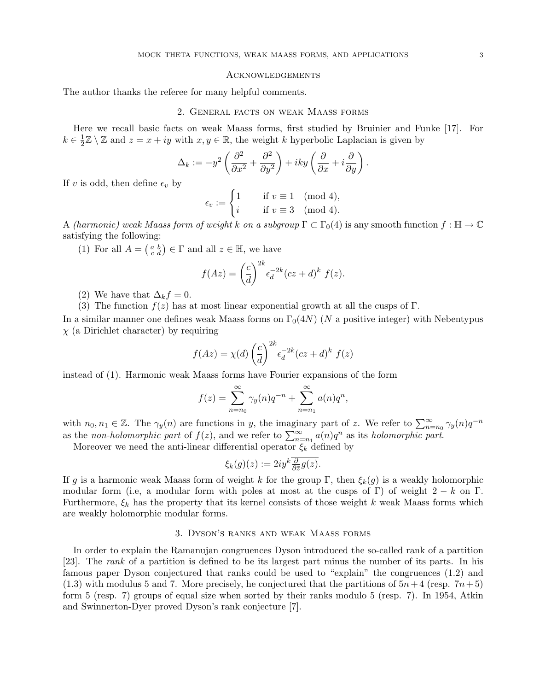## **ACKNOWLEDGEMENTS**

The author thanks the referee for many helpful comments.

## 2. General facts on weak Maass forms

Here we recall basic facts on weak Maass forms, first studied by Bruinier and Funke [17]. For  $k \in \frac{1}{2}$  $\frac{1}{2}\mathbb{Z}\setminus\mathbb{Z}$  and  $z=x+iy$  with  $x,y\in\mathbb{R}$ , the weight k hyperbolic Laplacian is given by

$$
\Delta_k := -y^2 \left( \frac{\partial^2}{\partial x^2} + \frac{\partial^2}{\partial y^2} \right) + iky \left( \frac{\partial}{\partial x} + i \frac{\partial}{\partial y} \right).
$$

If v is odd, then define  $\epsilon_v$  by

$$
\epsilon_v := \begin{cases} 1 & \text{if } v \equiv 1 \pmod{4}, \\ i & \text{if } v \equiv 3 \pmod{4}. \end{cases}
$$

A (harmonic) weak Maass form of weight k on a subgroup  $\Gamma \subset \Gamma_0(4)$  is any smooth function  $f : \mathbb{H} \to \mathbb{C}$ satisfying the following:

(1) For all  $A = \begin{pmatrix} a & b \\ c & d \end{pmatrix} \in \Gamma$  and all  $z \in \mathbb{H}$ , we have

$$
f(Az) = \left(\frac{c}{d}\right)^{2k} \epsilon_d^{-2k} (cz+d)^k f(z).
$$

(2) We have that  $\Delta_k f = 0$ .

(3) The function  $f(z)$  has at most linear exponential growth at all the cusps of  $\Gamma$ .

In a similar manner one defines weak Maass forms on  $\Gamma_0(4N)$  (N a positive integer) with Nebentypus  $\chi$  (a Dirichlet character) by requiring

$$
f(Az) = \chi(d) \left(\frac{c}{d}\right)^{2k} \epsilon_d^{-2k} (cz+d)^k f(z)
$$

instead of (1). Harmonic weak Maass forms have Fourier expansions of the form

$$
f(z) = \sum_{n=n_0}^{\infty} \gamma_y(n) q^{-n} + \sum_{n=n_1}^{\infty} a(n) q^n,
$$

with  $n_0, n_1 \in \mathbb{Z}$ . The  $\gamma_y(n)$  are functions in y, the imaginary part of z. We refer to  $\sum_{n=n_0}^{\infty} \gamma_y(n)q^{-n}$ as the non-holomorphic part of  $f(z)$ , and we refer to  $\sum_{n=n_1}^{\infty} a(n)q^n$  as its holomorphic part.

Moreover we need the anti-linear differential operator  $\xi_k$  defined by

$$
\xi_k(g)(z) := 2iy^k \overline{\frac{\partial}{\partial \bar{z}}g(z)}.
$$

If g is a harmonic weak Maass form of weight k for the group Γ, then  $\xi_k(g)$  is a weakly holomorphic modular form (i.e, a modular form with poles at most at the cusps of Γ) of weight  $2 - k$  on Γ. Furthermore,  $\xi_k$  has the property that its kernel consists of those weight k weak Maass forms which are weakly holomorphic modular forms.

# 3. Dyson's ranks and weak Maass forms

In order to explain the Ramanujan congruences Dyson introduced the so-called rank of a partition [23]. The rank of a partition is defined to be its largest part minus the number of its parts. In his famous paper Dyson conjectured that ranks could be used to "explain" the congruences (1.2) and  $(1.3)$  with modulus 5 and 7. More precisely, he conjectured that the partitions of  $5n+4$  (resp.  $7n+5$ ) form 5 (resp. 7) groups of equal size when sorted by their ranks modulo 5 (resp. 7). In 1954, Atkin and Swinnerton-Dyer proved Dyson's rank conjecture [7].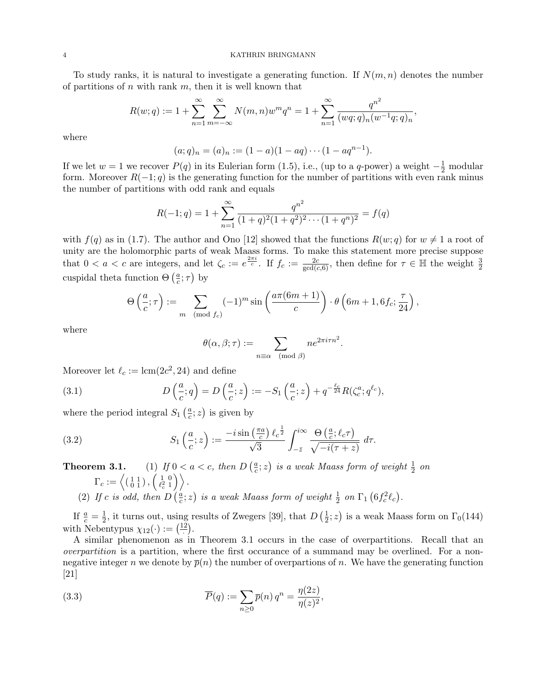To study ranks, it is natural to investigate a generating function. If  $N(m, n)$  denotes the number of partitions of  $n$  with rank  $m$ , then it is well known that

$$
R(w;q) := 1 + \sum_{n=1}^{\infty} \sum_{m=-\infty}^{\infty} N(m,n)w^m q^n = 1 + \sum_{n=1}^{\infty} \frac{q^{n^2}}{(wq;q)_n(w^{-1}q;q)_n},
$$

where

$$
(a;q)_n = (a)_n := (1-a)(1-aq) \cdots (1-aq^{n-1}).
$$

If we let  $w = 1$  we recover  $P(q)$  in its Eulerian form (1.5), i.e., (up to a q-power) a weight  $-\frac{1}{2}$  modular form. Moreover  $R(-1; q)$  is the generating function for the number of partitions with even rank minus the number of partitions with odd rank and equals

$$
R(-1;q) = 1 + \sum_{n=1}^{\infty} \frac{q^{n^2}}{(1+q)^2(1+q^2)^2 \cdots (1+q^n)^2} = f(q)
$$

with  $f(q)$  as in (1.7). The author and Ono [12] showed that the functions  $R(w; q)$  for  $w \neq 1$  a root of unity are the holomorphic parts of weak Maass forms. To make this statement more precise suppose that  $0 < a < c$  are integers, and let  $\zeta_c := e^{\frac{2\pi i}{c}}$ . If  $f_c := \frac{2c}{\gcd(c, 6)}$ , then define for  $\tau \in \mathbb{H}$  the weight  $\frac{3}{2}$ cuspidal theta function  $\Theta\left(\frac{a}{c}\right)$  $\frac{a}{c}$ ;  $\tau$ ) by

$$
\Theta\left(\frac{a}{c};\tau\right) := \sum_{m \pmod{f_c}} (-1)^m \sin\left(\frac{a\pi(6m+1)}{c}\right) \cdot \theta\left(6m+1,6f_c;\frac{\tau}{24}\right),
$$

where

$$
\theta(\alpha, \beta; \tau) := \sum_{n \equiv \alpha \pmod{\beta}} n e^{2\pi i \tau n^2}.
$$

Moreover let  $\ell_c := \text{lcm}(2c^2, 24)$  and define

(3.1) 
$$
D\left(\frac{a}{c};q\right) = D\left(\frac{a}{c};z\right) := -S_1\left(\frac{a}{c};z\right) + q^{-\frac{\ell_c}{24}}R(\zeta_c^a;q^{\ell_c}),
$$

where the period integral  $S_1\left(\frac{a}{c}\right)$  $\frac{a}{c}$ ; *z*) is given by

(3.2) 
$$
S_1\left(\frac{a}{c};z\right) := \frac{-i\sin\left(\frac{\pi a}{c}\right)\ell_c^{\frac{1}{2}}}{\sqrt{3}}\int_{-\bar{z}}^{i\infty}\frac{\Theta\left(\frac{a}{c};\ell_c\tau\right)}{\sqrt{-i(\tau+z)}} d\tau.
$$

**Theorem 3.1.** (1) If  $0 < a < c$ , then  $D\left(\frac{a}{c}\right)$  $\frac{a}{c}$ ; z) is a weak Maass form of weight  $\frac{1}{2}$  on  $\Gamma_c:=\left\langle \left(\begin{smallmatrix} 1 & 1 \ 0 & 1 \end{smallmatrix}\right), \left(\begin{smallmatrix} 1 & 0 \ \ell_c^2 & 1 \end{smallmatrix}\right) \right\rangle$  $\left(\begin{smallmatrix} 1 & 0 \ \ell_c^2 & 1 \end{smallmatrix}\right)\right).$ (2) If c is odd, then  $D\left(\frac{a}{c}\right)$  $\frac{a}{c}$ ; z) is a weak Maass form of weight  $\frac{1}{2}$  on  $\Gamma_1$   $\left(6f_c^2\ell_c\right)$ .

If  $\frac{a}{c} = \frac{1}{2}$  $\frac{1}{2}$ , it turns out, using results of Zwegers [39], that  $D\left(\frac{1}{2}\right)$  $(\frac{1}{2}; z)$  is a weak Maass form on  $\Gamma_0(144)$ with Nebentypus  $\chi_{12}(\cdot) := \left(\frac{12}{\cdot}\right)$ .

A similar phenomenon as in Theorem 3.1 occurs in the case of overpartitions. Recall that an overpartition is a partition, where the first occurance of a summand may be overlined. For a nonnegative integer n we denote by  $\bar{p}(n)$  the number of overpartions of n. We have the generating function [21]

(3.3) 
$$
\overline{P}(q) := \sum_{n\geq 0} \overline{p}(n) q^n = \frac{\eta(2z)}{\eta(z)^2},
$$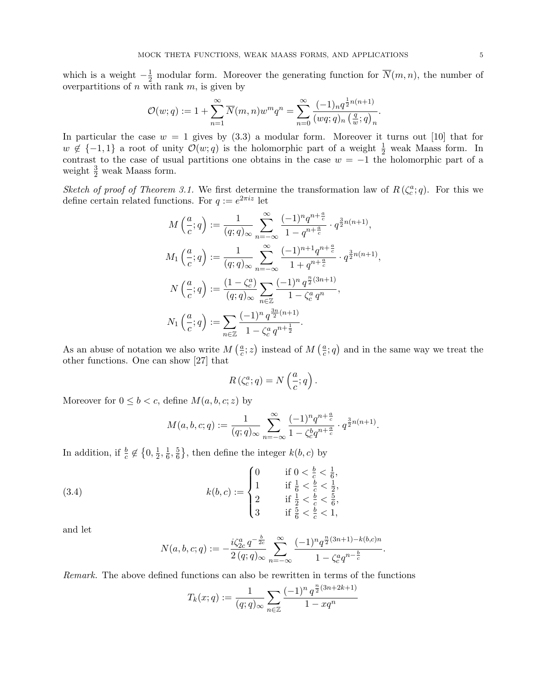which is a weight  $-\frac{1}{2}$  modular form. Moreover the generating function for  $\overline{N}(m, n)$ , the number of overpartitions of  $n$  with rank  $m$ , is given by

$$
\mathcal{O}(w;q):=1+\sum_{n=1}^\infty \overline{N}(m,n)w^mq^n=\sum_{n=0}^\infty \frac{(-1)_nq^{\frac12n(n+1)}}{(wq;q)_n\left(\frac{q}{w};q\right)_n}.
$$

In particular the case  $w = 1$  gives by  $(3.3)$  a modular form. Moreover it turns out [10] that for  $w \notin \{-1,1\}$  a root of unity  $\mathcal{O}(w;q)$  is the holomorphic part of a weight  $\frac{1}{2}$  weak Maass form. In contrast to the case of usual partitions one obtains in the case  $w = -1$  the holomorphic part of a weight  $\frac{3}{2}$  weak Maass form.

Sketch of proof of Theorem 3.1. We first determine the transformation law of  $R(\zeta_c^a;q)$ . For this we define certain related functions. For  $q := e^{2\pi i z}$  let

$$
M\left(\frac{a}{c};q\right) := \frac{1}{(q;q)_{\infty}} \sum_{n=-\infty}^{\infty} \frac{(-1)^n q^{n+\frac{a}{c}}}{1-q^{n+\frac{a}{c}}} \cdot q^{\frac{3}{2}n(n+1)},
$$
  
\n
$$
M_1\left(\frac{a}{c};q\right) := \frac{1}{(q;q)_{\infty}} \sum_{n=-\infty}^{\infty} \frac{(-1)^{n+1} q^{n+\frac{a}{c}}}{1+q^{n+\frac{a}{c}}} \cdot q^{\frac{3}{2}n(n+1)},
$$
  
\n
$$
N\left(\frac{a}{c};q\right) := \frac{(1-\zeta_c^a)}{(q;q)_{\infty}} \sum_{n \in \mathbb{Z}} \frac{(-1)^n q^{\frac{n}{2}(3n+1)}}{1-\zeta_c^a q^n},
$$
  
\n
$$
N_1\left(\frac{a}{c};q\right) := \sum_{n \in \mathbb{Z}} \frac{(-1)^n q^{\frac{3n}{2}(n+1)}}{1-\zeta_c^a q^{n+\frac{1}{2}}}.
$$

As an abuse of notation we also write  $M\left(\frac{a}{c}\right)$  $\frac{a}{c}$ ; *z*) instead of *M* ( $\frac{a}{c}$  $(\frac{a}{c}; q)$  and in the same way we treat the other functions. One can show [27] that

$$
R\left(\zeta_c^a;q\right) = N\left(\frac{a}{c};q\right).
$$

Moreover for  $0 \leq b < c$ , define  $M(a, b, c; z)$  by

$$
M(a, b, c; q) := \frac{1}{(q; q)_{\infty}} \sum_{n=-\infty}^{\infty} \frac{(-1)^n q^{n + \frac{a}{c}}}{1 - \zeta_c^b q^{n + \frac{a}{c}}} \cdot q^{\frac{3}{2}n(n+1)}.
$$

In addition, if  $\frac{b}{c} \notin \left\{0, \frac{1}{2}\right\}$  $\frac{1}{2}, \frac{1}{6}$  $\frac{1}{6}, \frac{5}{6}$  $\frac{5}{6}$ , then define the integer  $k(b, c)$  by

(3.4) 
$$
k(b, c) := \begin{cases} 0 & \text{if } 0 < \frac{b}{c} < \frac{1}{6}, \\ 1 & \text{if } \frac{1}{6} < \frac{b}{c} < \frac{1}{2}, \\ 2 & \text{if } \frac{1}{2} < \frac{b}{c} < \frac{5}{6}, \\ 3 & \text{if } \frac{5}{6} < \frac{b}{c} < 1, \end{cases}
$$

and let

$$
N(a,b,c;q):=-\frac{i\zeta_{2c}^a\,q^{-\frac{b}{2c}}}{2\,(q;q)_\infty}\sum_{n=-\infty}^\infty\frac{(-1)^n q^{\frac{n}{2}(3n+1)-k(b,c)n}}{1-\zeta_c^a q^{n-\frac{b}{c}}}.
$$

Remark. The above defined functions can also be rewritten in terms of the functions

$$
T_k(x;q) := \frac{1}{(q;q)_{\infty}} \sum_{n \in \mathbb{Z}} \frac{(-1)^n q^{\frac{n}{2}(3n+2k+1)}}{1 - xq^n}
$$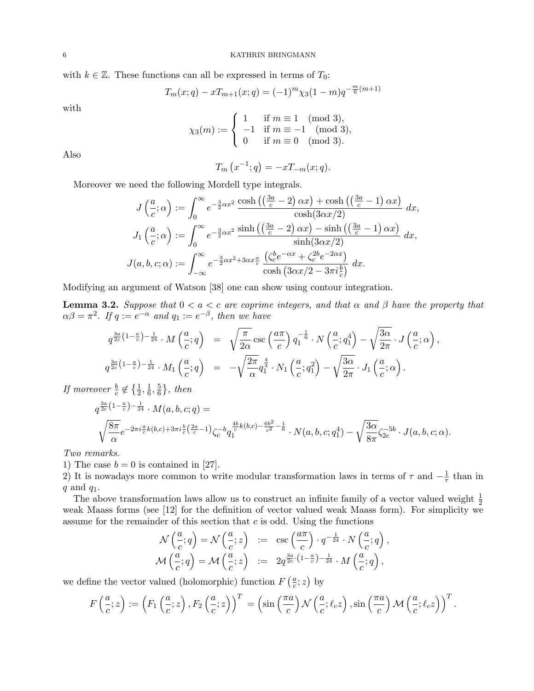with  $k \in \mathbb{Z}$ . These functions can all be expressed in terms of  $T_0$ :

$$
T_m(x;q) - xT_{m+1}(x;q) = (-1)^m \chi_3(1-m)q^{-\frac{m}{6}(m+1)}
$$

with

$$
\chi_3(m) := \begin{cases} 1 & \text{if } m \equiv 1 \pmod{3}, \\ -1 & \text{if } m \equiv -1 \pmod{3}, \\ 0 & \text{if } m \equiv 0 \pmod{3}. \end{cases}
$$

Also

$$
T_m(x^{-1};q) = -xT_{-m}(x;q).
$$

Moreover we need the following Mordell type integrals.

$$
J\left(\frac{a}{c};\alpha\right) := \int_0^\infty e^{-\frac{3}{2}\alpha x^2} \frac{\cosh\left(\left(\frac{3a}{c} - 2\right)\alpha x\right) + \cosh\left(\left(\frac{3a}{c} - 1\right)\alpha x\right)}{\cosh(3\alpha x/2)} dx,
$$
  

$$
J_1\left(\frac{a}{c};\alpha\right) := \int_0^\infty e^{-\frac{3}{2}\alpha x^2} \frac{\sinh\left(\left(\frac{3a}{c} - 2\right)\alpha x\right) - \sinh\left(\left(\frac{3a}{c} - 1\right)\alpha x\right)}{\sinh(3\alpha x/2)} dx,
$$
  

$$
J(a,b,c;\alpha) := \int_{-\infty}^\infty e^{-\frac{3}{2}\alpha x^2 + 3\alpha x \frac{a}{c}} \frac{\left(\zeta_c^b e^{-\alpha x} + \zeta_c^{2b} e^{-2\alpha x}\right)}{\cosh\left(3\alpha x/2 - 3\pi i \frac{b}{c}\right)} dx.
$$

Modifying an argument of Watson [38] one can show using contour integration.

**Lemma 3.2.** Suppose that  $0 < a < c$  are coprime integers, and that  $\alpha$  and  $\beta$  have the property that  $\alpha\beta = \pi^2$ . If  $q := e^{-\alpha}$  and  $q_1 := e^{-\beta}$ , then we have

$$
q^{\frac{3a}{2c}\left(1-\frac{a}{c}\right)-\frac{1}{24}} \cdot M\left(\frac{a}{c};q\right) = \sqrt{\frac{\pi}{2\alpha}} \csc\left(\frac{a\pi}{c}\right) q_1^{-\frac{1}{6}} \cdot N\left(\frac{a}{c};q_1^4\right) - \sqrt{\frac{3\alpha}{2\pi}} \cdot J\left(\frac{a}{c};\alpha\right),
$$
  

$$
q^{\frac{3a}{2c}\left(1-\frac{a}{c}\right)-\frac{1}{24}} \cdot M_1\left(\frac{a}{c};q\right) = -\sqrt{\frac{2\pi}{\alpha}} q_1^{\frac{4}{3}} \cdot N_1\left(\frac{a}{c};q_1^2\right) - \sqrt{\frac{3\alpha}{2\pi}} \cdot J_1\left(\frac{a}{c};\alpha\right).
$$

If moreover  $\frac{b}{c} \notin \left\{\frac{1}{2}, \frac{1}{6}\right\}$  $\frac{1}{6}, \frac{5}{6}$  $\frac{5}{6}\},\ then$ 

$$
q^{\frac{3a}{2c}(1-\frac{a}{c})-\frac{1}{24}} \cdot M(a,b,c;q) = \sqrt{\frac{8\pi}{\alpha}} e^{-2\pi i \frac{a}{c}k(b,c) + 3\pi i \frac{b}{c}(\frac{2a}{c}-1)} \zeta_c^{-b} q_1^{\frac{4b}{c}k(b,c) - \frac{6b^2}{c^2}-\frac{1}{6}}} \cdot N(a,b,c;q_1^4) - \sqrt{\frac{3\alpha}{8\pi}} \zeta_{2c}^{-5b} \cdot J(a,b,c;\alpha).
$$

Two remarks.

1) The case  $b = 0$  is contained in [27].

2) It is nowadays more common to write modular transformation laws in terms of  $\tau$  and  $-\frac{1}{\tau}$  $\frac{1}{\tau}$  than in  $q$  and  $q_1$ .

The above transformation laws allow us to construct an infinite family of a vector valued weight  $\frac{1}{2}$ weak Maass forms (see [12] for the definition of vector valued weak Maass form). For simplicity we assume for the remainder of this section that  $c$  is odd. Using the functions

$$
\begin{array}{rcl}\n\mathcal{N}\left(\frac{a}{c};q\right) &=& \mathcal{N}\left(\frac{a}{c};z\right) &:= & \csc\left(\frac{a\pi}{c}\right)\cdot q^{-\frac{1}{24}}\cdot N\left(\frac{a}{c};q\right), \\
\mathcal{M}\left(\frac{a}{c};q\right) &=& \mathcal{M}\left(\frac{a}{c};z\right) &:= & 2q^{\frac{3a}{2c}\cdot\left(1-\frac{a}{c}\right)-\frac{1}{24}}\cdot M\left(\frac{a}{c};q\right),\n\end{array}
$$

we define the vector valued (holomorphic) function  $F\left(\frac{a}{c}\right)$  $\frac{a}{c}$ ; z) by

$$
F\left(\frac{a}{c};z\right) := \left(F_1\left(\frac{a}{c};z\right), F_2\left(\frac{a}{c};z\right)\right)^T = \left(\sin\left(\frac{\pi a}{c}\right) \mathcal{N}\left(\frac{a}{c};\ell_c z\right), \sin\left(\frac{\pi a}{c}\right) \mathcal{M}\left(\frac{a}{c};\ell_c z\right)\right)^T.
$$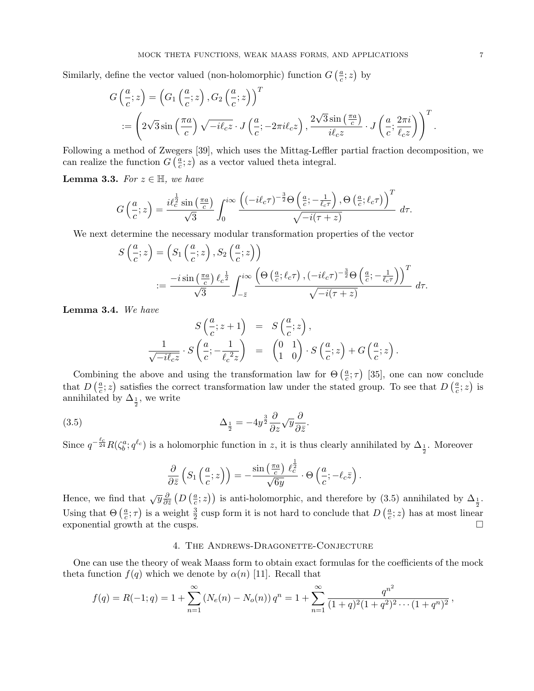Similarly, define the vector valued (non-holomorphic) function  $G\left(\frac{a}{c}\right)$  $\frac{a}{c}$ ; z) by

$$
G\left(\frac{a}{c};z\right) = \left(G_1\left(\frac{a}{c};z\right), G_2\left(\frac{a}{c};z\right)\right)^T
$$
  
 :=  $\left(2\sqrt{3}\sin\left(\frac{\pi a}{c}\right)\sqrt{-i\ell_c z} \cdot J\left(\frac{a}{c}; -2\pi i\ell_c z\right), \frac{2\sqrt{3}\sin\left(\frac{\pi a}{c}\right)}{i\ell_c z} \cdot J\left(\frac{a}{c}; \frac{2\pi i}{\ell_c z}\right)\right)^T$ 

Following a method of Zwegers [39], which uses the Mittag-Leffler partial fraction decomposition, we can realize the function  $G\left(\frac{a}{c}\right)$  $(\frac{a}{c}; z)$  as a vector valued theta integral.

**Lemma 3.3.** For  $z \in \mathbb{H}$ , we have

$$
G\left(\frac{a}{c};z\right) = \frac{i\ell_c^{\frac{1}{2}}\sin\left(\frac{\pi a}{c}\right)}{\sqrt{3}}\int_0^{i\infty}\frac{\left((-i\ell_c\tau)^{-\frac{3}{2}}\Theta\left(\frac{a}{c};-\frac{1}{\ell_c\tau}\right),\Theta\left(\frac{a}{c};\ell_c\tau\right)\right)^T}{\sqrt{-i(\tau+z)}}\ d\tau.
$$

We next determine the necessary modular transformation properties of the vector

$$
S\left(\frac{a}{c};z\right) = \left(S_1\left(\frac{a}{c};z\right), S_2\left(\frac{a}{c};z\right)\right)
$$
  
 := 
$$
\frac{-i\sin\left(\frac{\pi a}{c}\right)\ell_c^{\frac{1}{2}}}{\sqrt{3}} \int_{-\overline{z}}^{i\infty} \frac{\left(\Theta\left(\frac{a}{c};\ell_c\tau\right), \left(-i\ell_c\tau\right)^{-\frac{3}{2}}\Theta\left(\frac{a}{c};-\frac{1}{\ell_c\tau}\right)\right)^T}{\sqrt{-i(\tau+z)}} d\tau.
$$

Lemma 3.4. We have

$$
S\left(\frac{a}{c}; z+1\right) = S\left(\frac{a}{c}; z\right),
$$
  

$$
\frac{1}{\sqrt{-i\ell_c z}} \cdot S\left(\frac{a}{c}; -\frac{1}{\ell_c^2 z}\right) = \begin{pmatrix} 0 & 1 \\ 1 & 0 \end{pmatrix} \cdot S\left(\frac{a}{c}; z\right) + G\left(\frac{a}{c}; z\right).
$$

Combining the above and using the transformation law for  $\Theta\left(\frac{a}{c}\right)$  $(\frac{a}{c}; \tau)$  [35], one can now conclude that  $D\left(\frac{a}{c}\right)$  $\frac{a}{c}$ ; z) satisfies the correct transformation law under the stated group. To see that  $D\left(\frac{a}{c}\right)$  $\frac{a}{c}$ ; z) is annihilated by  $\Delta_{\frac{1}{2}}$ , we write

(3.5) 
$$
\Delta_{\frac{1}{2}} = -4y^{\frac{3}{2}} \frac{\partial}{\partial z} \sqrt{y} \frac{\partial}{\partial \bar{z}}.
$$

Since  $q^{-\frac{\ell_c}{24}}R(\zeta_b^a; q^{\ell_c})$  is a holomorphic function in z, it is thus clearly annihilated by  $\Delta_{\frac{1}{2}}$ . Moreover

$$
\frac{\partial}{\partial \bar{z}}\left(S_1\left(\frac{a}{c};z\right)\right)=-\frac{\sin\left(\frac{\pi a}{c}\right)\,\ell_c^{\frac{1}{2}}}{\sqrt{6y}}\cdot \Theta\left(\frac{a}{c};-\ell_c\bar{z}\right).
$$

Hence, we find that  $\sqrt{y} \frac{\partial}{\partial y}$  $\frac{\partial}{\partial \bar{z}}\left( D\left( \frac{a}{c}\right. \right)$  $(\frac{a}{c}; z)$ ) is anti-holomorphic, and therefore by (3.5) annihilated by  $\Delta_{\frac{1}{2}}$ . Using that  $\Theta\left(\frac{a}{c}\right)$  $(\frac{a}{c}; \tau)$  is a weight  $\frac{3}{2}$  cusp form it is not hard to conclude that  $D\left(\frac{a}{c}\right)$  $\frac{a}{c}$ ; *z*) has at most linear exponential growth at the cusps.  $\Box$ 

# 4. The Andrews-Dragonette-Conjecture

One can use the theory of weak Maass form to obtain exact formulas for the coefficients of the mock theta function  $f(q)$  which we denote by  $\alpha(n)$  [11]. Recall that

$$
f(q) = R(-1; q) = 1 + \sum_{n=1}^{\infty} (N_e(n) - N_o(n)) q^n = 1 + \sum_{n=1}^{\infty} \frac{q^{n^2}}{(1+q)^2(1+q^2)^2 \cdots (1+q^n)^2},
$$

.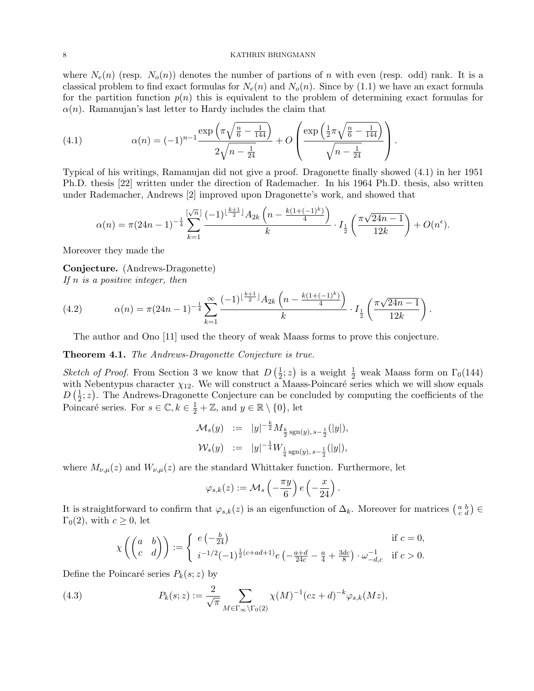where  $N_e(n)$  (resp.  $N_o(n)$ ) denotes the number of partions of n with even (resp. odd) rank. It is a classical problem to find exact formulas for  $N_e(n)$  and  $N_o(n)$ . Since by (1.1) we have an exact formula for the partition function  $p(n)$  this is equivalent to the problem of determining exact formulas for  $\alpha(n)$ . Ramanujan's last letter to Hardy includes the claim that

(4.1) 
$$
\alpha(n) = (-1)^{n-1} \frac{\exp\left(\pi \sqrt{\frac{n}{6} - \frac{1}{144}}\right)}{2\sqrt{n - \frac{1}{24}}} + O\left(\frac{\exp\left(\frac{1}{2}\pi \sqrt{\frac{n}{6} - \frac{1}{144}}\right)}{\sqrt{n - \frac{1}{24}}}\right).
$$

Typical of his writings, Ramanujan did not give a proof. Dragonette finally showed (4.1) in her 1951 Ph.D. thesis [22] written under the direction of Rademacher. In his 1964 Ph.D. thesis, also written under Rademacher, Andrews [2] improved upon Dragonette's work, and showed that

$$
\alpha(n) = \pi (24n - 1)^{-\frac{1}{4}} \sum_{k=1}^{\lfloor \sqrt{n} \rfloor} \frac{(-1)^{\lfloor \frac{k+1}{2} \rfloor} A_{2k} \left(n - \frac{k(1 + (-1)^k)}{4}\right)}{k} \cdot I_{\frac{1}{2}}\left(\frac{\pi \sqrt{24n - 1}}{12k}\right) + O(n^{\epsilon}).
$$

Moreover they made the

Conjecture. (Andrews-Dragonette) If  $n$  is a positive integer, then

(4.2) 
$$
\alpha(n) = \pi (24n - 1)^{-\frac{1}{4}} \sum_{k=1}^{\infty} \frac{(-1)^{\lfloor \frac{k+1}{2} \rfloor} A_{2k} \left( n - \frac{k(1+(-1)^k)}{4} \right)}{k} \cdot I_{\frac{1}{2}} \left( \frac{\pi \sqrt{24n - 1}}{12k} \right).
$$

The author and Ono [11] used the theory of weak Maass forms to prove this conjecture.

Theorem 4.1. The Andrews-Dragonette Conjecture is true.

*Sketch of Proof.* From Section 3 we know that  $D\left(\frac{1}{2}\right)$  $(\frac{1}{2}; z)$  is a weight  $\frac{1}{2}$  weak Maass form on  $\Gamma_0(144)$ with Nebentypus character  $\chi_{12}$ . We will construct a Maass-Poincaré series which we will show equals  $D\left(\frac{1}{2}\right)$  $\frac{1}{2}$ ; z). The Andrews-Dragonette Conjecture can be concluded by computing the coefficients of the Poincaré series. For  $s \in \mathbb{C}, k \in \frac{1}{2} + \mathbb{Z}$ , and  $y \in \mathbb{R} \setminus \{0\}$ , let

$$
\begin{array}{rcl}\mathcal{M}_s(y) & := & |y|^{-\frac{k}{2}} M_{\frac{k}{2} \operatorname{sgn}(y), s-\frac{1}{2}}(|y|),\\ \mathcal{W}_s(y) & := & |y|^{-\frac{1}{4}} W_{\frac{1}{4} \operatorname{sgn}(y), s-\frac{1}{2}}(|y|),\end{array}
$$

where  $M_{\nu,\mu}(z)$  and  $W_{\nu,\mu}(z)$  are the standard Whittaker function. Furthermore, let

$$
\varphi_{s,k}(z):=\mathcal{M}_s\left(-\frac{\pi y}{6}\right)e\left(-\frac{x}{24}\right).
$$

It is straightforward to confirm that  $\varphi_{s,k}(z)$  is an eigenfunction of  $\Delta_k$ . Moreover for matrices  $\begin{pmatrix} a & b \\ c & d \end{pmatrix} \in$  $\Gamma_0(2)$ , with  $c \geq 0$ , let

$$
\chi\left(\begin{pmatrix} a & b \\ c & d \end{pmatrix}\right) := \begin{cases} e\left(-\frac{b}{24}\right) & \text{if } c = 0, \\ i^{-1/2}(-1)^{\frac{1}{2}(c+ad+1)}e\left(-\frac{a+d}{24c} - \frac{a}{4} + \frac{3dc}{8}\right) \cdot \omega_{-d,c}^{-1} & \text{if } c > 0. \end{cases}
$$

Define the Poincaré series  $P_k(s; z)$  by

(4.3) 
$$
P_k(s; z) := \frac{2}{\sqrt{\pi}} \sum_{M \in \Gamma_{\infty} \backslash \Gamma_0(2)} \chi(M)^{-1} (cz + d)^{-k} \varphi_{s,k}(Mz),
$$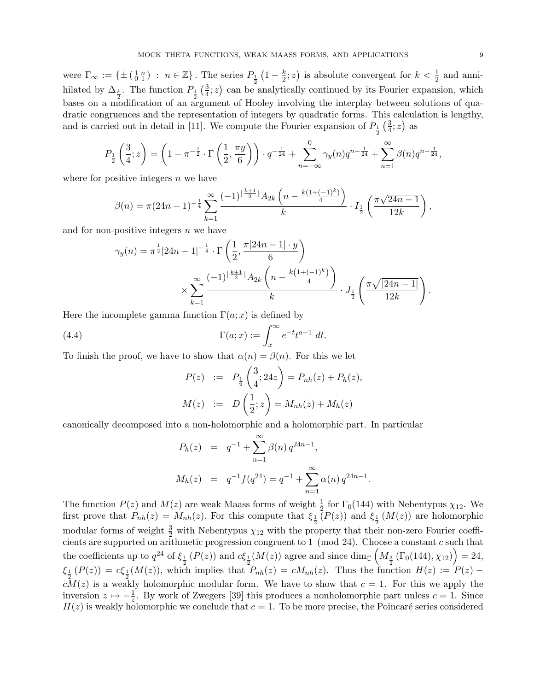were  $\Gamma_{\infty} := \{ \pm \left( \begin{smallmatrix} 1 & n \\ 0 & 1 \end{smallmatrix} \right) : n \in \mathbb{Z} \}$ . The series  $P_{\frac{1}{2}}(1 - \frac{k}{2})$ hilated by  $\Delta_{\frac{k}{2}}$ . The function  $P_{\frac{1}{2}}\left(\frac{3}{4};z\right)$  can be  $\frac{k}{2}$ ; z) is absolute convergent for  $k < \frac{1}{2}$  and anni- $\frac{3}{4}$ ; z) can be analytically continued by its Fourier expansion, which bases on a modification of an argument of Hooley involving the interplay between solutions of quadratic congruences and the representation of integers by quadratic forms. This calculation is lengthy, and is carried out in detail in [11]. We compute the Fourier expansion of  $P_{\frac{1}{2}}(\frac{3}{4})$  $\frac{3}{4}$ ; z) as

$$
P_{\frac{1}{2}}\left(\frac{3}{4};z\right) = \left(1 - \pi^{-\frac{1}{2}} \cdot \Gamma\left(\frac{1}{2},\frac{\pi y}{6}\right)\right) \cdot q^{-\frac{1}{24}} + \sum_{n=-\infty}^{0} \gamma_y(n)q^{n-\frac{1}{24}} + \sum_{n=1}^{\infty} \beta(n)q^{n-\frac{1}{24}},
$$

where for positive integers  $n$  we have

$$
\beta(n) = \pi (24n - 1)^{-\frac{1}{4}} \sum_{k=1}^{\infty} \frac{(-1)^{\lfloor \frac{k+1}{2} \rfloor} A_{2k} \left( n - \frac{k(1+(-1)^k)}{4} \right)}{k} \cdot I_{\frac{1}{2}} \left( \frac{\pi \sqrt{24n - 1}}{12k} \right),
$$

and for non-positive integers  $n$  we have

$$
\gamma_y(n) = \pi^{\frac{1}{2}} |24n - 1|^{-\frac{1}{4}} \cdot \Gamma\left(\frac{1}{2}, \frac{\pi|24n - 1| \cdot y}{6}\right)
$$

$$
\times \sum_{k=1}^{\infty} \frac{(-1)^{\left\lfloor \frac{k+1}{2} \right\rfloor} A_{2k} \left(n - \frac{k(1 + (-1)^k)}{4}\right)}{k} \cdot J_{\frac{1}{2}}\left(\frac{\pi \sqrt{|24n - 1|}}{12k}\right).
$$

Here the incomplete gamma function  $\Gamma(a; x)$  is defined by

(4.4) 
$$
\Gamma(a;x) := \int_x^{\infty} e^{-t} t^{a-1} dt.
$$

To finish the proof, we have to show that  $\alpha(n) = \beta(n)$ . For this we let

$$
P(z) := P_{\frac{1}{2}}\left(\frac{3}{4}; 24z\right) = P_{nh}(z) + P_h(z),
$$
  

$$
M(z) := D\left(\frac{1}{2}; z\right) = M_{nh}(z) + M_h(z)
$$

canonically decomposed into a non-holomorphic and a holomorphic part. In particular

$$
P_h(z) = q^{-1} + \sum_{n=1}^{\infty} \beta(n) q^{24n-1},
$$
  

$$
M_h(z) = q^{-1} f(q^{24}) = q^{-1} + \sum_{n=1}^{\infty} \alpha(n) q^{24n-1}
$$

.

The function  $P(z)$  and  $M(z)$  are weak Maass forms of weight  $\frac{1}{2}$  for  $\Gamma_0(144)$  with Nebentypus  $\chi_{12}$ . We first prove that  $P_{nh}(z) = M_{nh}(z)$ . For this compute that  $\xi_{\frac{1}{2}}(P(z))$  and  $\xi_{\frac{1}{2}}(M(z))$  are holomorphic modular forms of weight  $\frac{3}{2}$  with Nebentypus  $\chi_{12}$  with the property that their non-zero Fourier coefficients are supported on arithmetic progression congruent to 1 (mod 24). Choose a constant c such that the coefficients up to  $q^{24}$  of  $\xi_{\frac{1}{2}}(P(z))$  and  $c\xi_{\frac{1}{2}}(M(z))$  agree and since  $\dim_{\mathbb{C}}\left(M_{\frac{3}{2}}(\Gamma_0(144), \chi_{12})\right) = 24$ ,  $\xi_{\frac{1}{2}}(P(z)) = c\xi_{\frac{1}{2}}(M(z))$ , which implies that  $P_{nh}(z) = cM_{nh}(z)$ . Thus the function  $H(z) := P(z) - \xi_{\frac{1}{2}}(Z)$  $cM(z)$  is a weakly holomorphic modular form. We have to show that  $c = 1$ . For this we apply the inversion  $z \mapsto -\frac{1}{z}$ . By work of Zwegers [39] this produces a nonholomorphic part unless  $c = 1$ . Since  $H(z)$  is weakly holomorphic we conclude that  $c = 1$ . To be more precise, the Poincaré series considered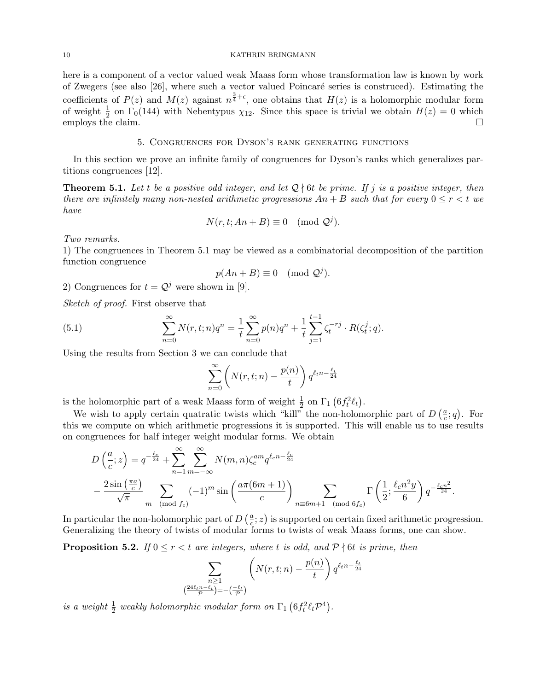here is a component of a vector valued weak Maass form whose transformation law is known by work of Zwegers (see also [26], where such a vector valued Poincar´e series is construced). Estimating the coefficients of  $P(z)$  and  $M(z)$  against  $n^{\frac{3}{4}+\epsilon}$ , one obtains that  $H(z)$  is a holomorphic modular form of weight  $\frac{1}{2}$  on  $\Gamma_0(144)$  with Nebentypus  $\chi_{12}$ . Since this space is trivial we obtain  $H(z) = 0$  which employs the claim.  $\Box$ 

# 5. Congruences for Dyson's rank generating functions

In this section we prove an infinite family of congruences for Dyson's ranks which generalizes partitions congruences [12].

**Theorem 5.1.** Let t be a positive odd integer, and let  $\mathcal{Q}$  {6t be prime. If j is a positive integer, then there are infinitely many non-nested arithmetic progressions  $An + B$  such that for every  $0 \le r < t$  we have

$$
N(r, t; An + B) \equiv 0 \pmod{\mathcal{Q}^j}.
$$

Two remarks.

1) The congruences in Theorem 5.1 may be viewed as a combinatorial decomposition of the partition function congruence

$$
p(An + B) \equiv 0 \pmod{\mathcal{Q}^j}.
$$

2) Congruences for  $t = Q^j$  were shown in [9].

Sketch of proof. First observe that

(5.1) 
$$
\sum_{n=0}^{\infty} N(r, t; n) q^n = \frac{1}{t} \sum_{n=0}^{\infty} p(n) q^n + \frac{1}{t} \sum_{j=1}^{t-1} \zeta_j^{-rj} \cdot R(\zeta_t^j; q).
$$

Using the results from Section 3 we can conclude that

$$
\sum_{n=0}^{\infty} \left( N(r, t; n) - \frac{p(n)}{t} \right) q^{\ell_t n - \frac{\ell_t}{24}}
$$

is the holomorphic part of a weak Maass form of weight  $\frac{1}{2}$  on  $\Gamma_1$   $(6f_t^2\ell_t)$ .

We wish to apply certain quatratic twists which "kill" the non-holomorphic part of  $D\left(\frac{a}{c}\right)$  $\frac{a}{c}$ ; *q*). For this we compute on which arithmetic progressions it is supported. This will enable us to use results on congruences for half integer weight modular forms. We obtain

$$
D\left(\frac{a}{c};z\right) = q^{-\frac{\ell_c}{24}} + \sum_{n=1}^{\infty} \sum_{m=-\infty}^{\infty} N(m,n) \zeta_c^{am} q^{\ell_c n - \frac{\ell_c}{24}}
$$

$$
- \frac{2\sin\left(\frac{\pi a}{c}\right)}{\sqrt{\pi}} \sum_{m \pmod{f_c}} (-1)^m \sin\left(\frac{a\pi (6m+1)}{c}\right) \sum_{n \equiv 6m+1 \pmod{6f_c}} \Gamma\left(\frac{1}{2}; \frac{\ell_c n^2 y}{6}\right) q^{-\frac{\ell_c n^2}{24}}.
$$

In particular the non-holomorphic part of  $D\left(\frac{a}{c}\right)$  $(\frac{a}{c}; z)$  is supported on certain fixed arithmetic progression. Generalizing the theory of twists of modular forms to twists of weak Maass forms, one can show.

**Proposition 5.2.** If  $0 \le r < t$  are integers, where t is odd, and  $\mathcal{P} \nmid 6t$  is prime, then

$$
\sum_{\substack{n\geq 1\\ \left(\frac{24\ell_t n-\ell_t}{\mathcal{P}}\right)=-\left(\frac{-\ell_t}{\mathcal{P}}\right)}} \left(N(r,t;n)-\frac{p(n)}{t}\right) q^{\ell_t n-\frac{\ell_t}{24}}
$$

is a weight  $\frac{1}{2}$  weakly holomorphic modular form on  $\Gamma_1$   $(6f_t^2 \ell_t \mathcal{P}^4)$ .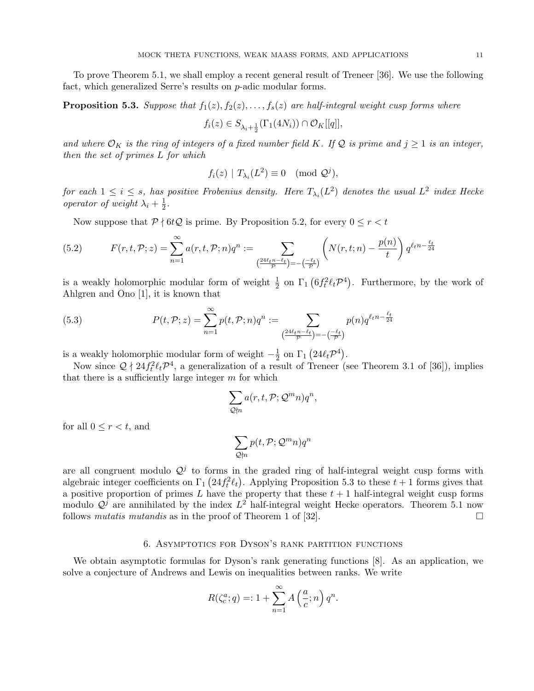To prove Theorem 5.1, we shall employ a recent general result of Treneer [36]. We use the following fact, which generalized Serre's results on p-adic modular forms.

**Proposition 5.3.** Suppose that  $f_1(z)$ ,  $f_2(z)$ , ...,  $f_s(z)$  are half-integral weight cusp forms where

$$
f_i(z) \in S_{\lambda_i + \frac{1}{2}}(\Gamma_1(4N_i)) \cap \mathcal{O}_K[[q]],
$$

and where  $\mathcal{O}_K$  is the ring of integers of a fixed number field K. If Q is prime and  $j \geq 1$  is an integer, then the set of primes L for which

$$
f_i(z) | T_{\lambda_i}(L^2) \equiv 0 \pmod{\mathcal{Q}^j},
$$

for each  $1 \leq i \leq s$ , has positive Frobenius density. Here  $T_{\lambda_i}(L^2)$  denotes the usual  $L^2$  index Hecke operator of weight  $\lambda_i + \frac{1}{2}$  $rac{1}{2}$ .

Now suppose that  $P \nmid 6tQ$  is prime. By Proposition 5.2, for every  $0 \le r < t$ 

(5.2) 
$$
F(r,t,\mathcal{P};z) = \sum_{n=1}^{\infty} a(r,t,\mathcal{P};n)q^n := \sum_{\left(\frac{24\ell_t n - \ell_t}{\mathcal{P}}\right) = -\left(\frac{-\ell_t}{\mathcal{P}}\right)} \left(N(r,t;n) - \frac{p(n)}{t}\right) q^{\ell_t n - \frac{\ell_t}{24}}
$$

is a weakly holomorphic modular form of weight  $\frac{1}{2}$  on  $\Gamma_1$   $(6f_t^2 \ell_t \mathcal{P}^4)$ . Furthermore, by the work of Ahlgren and Ono [1], it is known that

(5.3) 
$$
P(t, \mathcal{P}; z) = \sum_{n=1}^{\infty} p(t, \mathcal{P}; n) q^n := \sum_{\left(\frac{24\ell_t n - \ell_t}{\mathcal{P}}\right) = -\left(\frac{-\ell_t}{\mathcal{P}}\right)} p(n) q^{\ell_t n - \frac{\ell_t}{24}}
$$

is a weakly holomorphic modular form of weight  $-\frac{1}{2}$  $\frac{1}{2}$  on  $\Gamma_1$   $\left(24\ell_t\mathcal{P}^4\right)$ .

Now since  $Q \nmid 24f_t^2 \ell_t \mathcal{P}^4$ , a generalization of a result of Treneer (see Theorem 3.1 of [36]), implies that there is a sufficiently large integer  $m$  for which

$$
\sum_{\mathcal{Q} \nmid n} a(r, t, \mathcal{P}; \mathcal{Q}^m n) q^n,
$$

for all  $0 \leq r < t$ , and

$$
\sum_{\mathcal{Q} \nmid n} p(t, \mathcal{P}; \mathcal{Q}^m n) q^n
$$

are all congruent modulo  $\mathcal{Q}^j$  to forms in the graded ring of half-integral weight cusp forms with algebraic integer coefficients on  $\Gamma_1(24 f_t^2 \ell_t)$ . Applying Proposition 5.3 to these  $t + 1$  forms gives that a positive proportion of primes L have the property that these  $t + 1$  half-integral weight cusp forms modulo  $\mathcal{Q}^j$  are annihilated by the index  $L^2$  half-integral weight Hecke operators. Theorem 5.1 now follows mutatis mutandis as in the proof of Theorem 1 of [32].

# 6. Asymptotics for Dyson's rank partition functions

We obtain asymptotic formulas for Dyson's rank generating functions [8]. As an application, we solve a conjecture of Andrews and Lewis on inequalities between ranks. We write

$$
R(\zeta_c^a; q) =: 1 + \sum_{n=1}^{\infty} A\left(\frac{a}{c}; n\right) q^n.
$$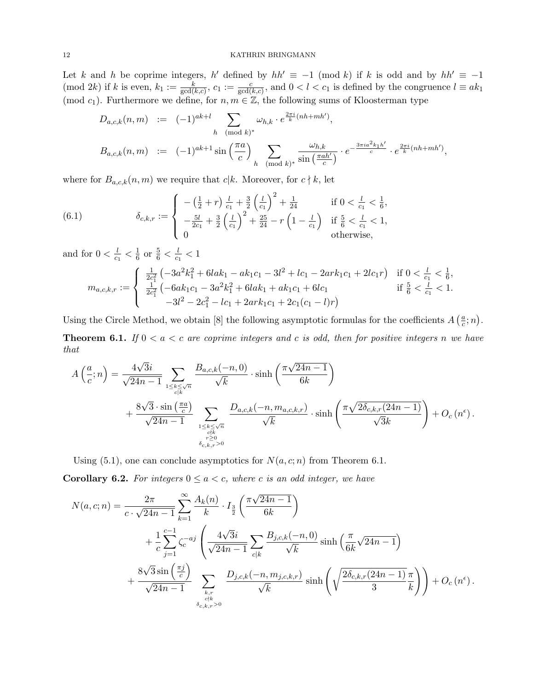Let k and h be coprime integers, h' defined by  $hh' \equiv -1 \pmod{k}$  if k is odd and by  $hh' \equiv -1$ (mod 2k) if k is even,  $k_1 := \frac{k}{\gcd(k,c)}$ ,  $c_1 := \frac{c}{\gcd(k,c)}$ , and  $0 < l < c_1$  is defined by the congruence  $l \equiv ak_1$ (mod c<sub>1</sub>). Furthermore we define, for  $n, m \in \mathbb{Z}$ , the following sums of Kloosterman type

$$
D_{a,c,k}(n,m) := (-1)^{ak+l} \sum_{h \pmod{k}^*} \omega_{h,k} \cdot e^{\frac{2\pi i}{k}(nh+mh')},
$$
  

$$
B_{a,c,k}(n,m) := (-1)^{ak+1} \sin\left(\frac{\pi a}{c}\right) \sum_{h \pmod{k}^*} \frac{\omega_{h,k}}{\sin\left(\frac{\pi a h'}{c}\right)} \cdot e^{-\frac{3\pi i a^2 k_1 h'}{c}} \cdot e^{\frac{2\pi i}{k}(nh+mh')},
$$

where for  $B_{a,c,k}(n,m)$  we require that  $c|k$ . Moreover, for  $c \nmid k$ , let

(6.1) 
$$
\delta_{c,k,r} := \begin{cases}\n- \left(\frac{1}{2} + r\right) \frac{l}{c_1} + \frac{3}{2} \left(\frac{l}{c_1}\right)^2 + \frac{1}{24} & \text{if } 0 < \frac{l}{c_1} < \frac{1}{6}, \\
-\frac{5l}{2c_1} + \frac{3}{2} \left(\frac{l}{c_1}\right)^2 + \frac{25}{24} - r \left(1 - \frac{l}{c_1}\right) & \text{if } \frac{5}{6} < \frac{l}{c_1} < 1, \\
0 & \text{otherwise,} \n\end{cases}
$$

and for  $0 < \frac{l}{c}$  $\frac{l}{c_1} < \frac{1}{6}$  $\frac{1}{6}$  or  $\frac{5}{6} < \frac{l}{c_1}$  $\frac{l}{c_1} < 1$  $m_{a,c,k,r} :=$  $\sqrt{ }$  $\int$  $\overline{\mathcal{L}}$ 1  $\frac{1}{2c_1^2} \left(-3a^2k_1^2 + 6lak_1 - ak_1c_1 - 3l^2 + lc_1 - 2ark_1c_1 + 2lc_1r\right)$  if  $0 < \frac{l}{c_1}$  $\frac{l}{c_1} < \frac{1}{6}$  $\frac{1}{6}$ 1  $\frac{1}{2c_1^2} \left(-6ak_1c_1 - 3a^2k_1^2 + 6lak_1 + ak_1c_1 + 6lc_1\right)$  if  $\frac{5}{6} < \frac{l}{c_1}$  $\frac{l}{c_1} < 1.$  $-3l^2 - 2c_1^2 - lc_1 + 2ark_1c_1 + 2c_1(c_1 - l)r$ 

Using the Circle Method, we obtain [8] the following asymptotic formulas for the coefficients  $A\left(\frac{a}{c}\right)$  $\frac{a}{c}$ ; n).

**Theorem 6.1.** If  $0 < a < c$  are coprime integers and c is odd, then for positive integers n we have that

$$
A\left(\frac{a}{c};n\right) = \frac{4\sqrt{3}i}{\sqrt{24n-1}} \sum_{\substack{1 \le k \le \sqrt{n} \\ c|k}} \frac{B_{a,c,k}(-n,0)}{\sqrt{k}} \cdot \sinh\left(\frac{\pi\sqrt{24n-1}}{6k}\right)
$$
  
+ 
$$
\frac{8\sqrt{3}\cdot\sin\left(\frac{\pi a}{c}\right)}{\sqrt{24n-1}} \sum_{\substack{1 \le k \le \sqrt{n} \\ c|k \atop r \ge 0}} \frac{D_{a,c,k}(-n,m_{a,c,k,r})}{\sqrt{k}} \cdot \sinh\left(\frac{\pi\sqrt{2\delta_{c,k,r}(24n-1)}}{\sqrt{3}k}\right) + O_c\left(n^{\epsilon}\right).
$$

Using (5.1), one can conclude asymptotics for  $N(a, c; n)$  from Theorem 6.1.

**Corollary 6.2.** For integers  $0 \le a < c$ , where c is an odd integer, we have

$$
N(a, c; n) = \frac{2\pi}{c \cdot \sqrt{24n - 1}} \sum_{k=1}^{\infty} \frac{A_k(n)}{k} \cdot I_{\frac{3}{2}}\left(\frac{\pi\sqrt{24n - 1}}{6k}\right) + \frac{1}{c} \sum_{j=1}^{c-1} \zeta_c^{-aj} \left(\frac{4\sqrt{3}i}{\sqrt{24n - 1}} \sum_{c|k} \frac{B_{j,c,k}(-n, 0)}{\sqrt{k}} \sinh\left(\frac{\pi}{6k}\sqrt{24n - 1}\right) + \frac{8\sqrt{3}\sin\left(\frac{\pi j}{c}\right)}{\sqrt{24n - 1}} \sum_{\substack{k,r \ k \text{ odd}}} \frac{D_{j,c,k}(-n, m_{j,c,k,r})}{\sqrt{k}} \sinh\left(\sqrt{\frac{2\delta_{c,k,r}(24n - 1)}{3}}\frac{\pi}{k}\right)\right) + O_c(n^{\epsilon}).
$$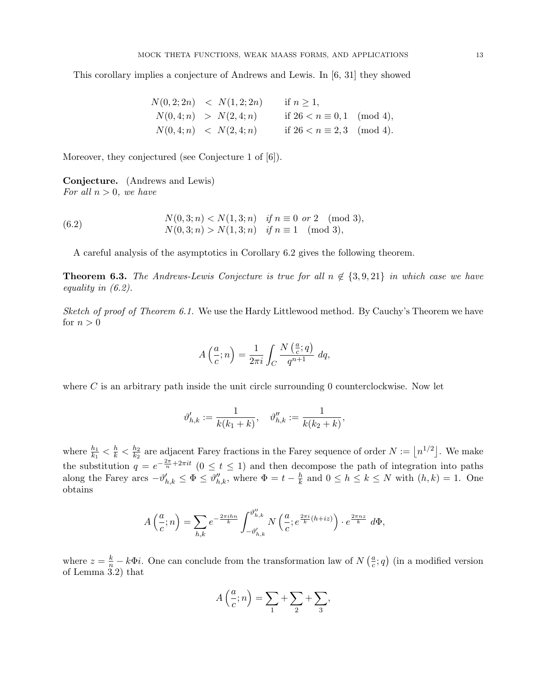This corollary implies a conjecture of Andrews and Lewis. In [6, 31] they showed

$$
N(0,2;2n) < N(1,2;2n) \quad \text{if } n \ge 1,
$$
\n
$$
N(0,4;n) > N(2,4;n) \quad \text{if } 26 < n \equiv 0,1 \pmod{4},
$$
\n
$$
N(0,4;n) < N(2,4;n) \quad \text{if } 26 < n \equiv 2,3 \pmod{4}.
$$

Moreover, they conjectured (see Conjecture 1 of [6]).

Conjecture. (Andrews and Lewis) For all  $n > 0$ , we have

(6.2) 
$$
N(0,3;n) < N(1,3;n) \quad \text{if } n \equiv 0 \text{ or } 2 \pmod{3},
$$

$$
N(0,3;n) > N(1,3;n) \quad \text{if } n \equiv 1 \pmod{3},
$$

A careful analysis of the asymptotics in Corollary 6.2 gives the following theorem.

**Theorem 6.3.** The Andrews-Lewis Conjecture is true for all  $n \notin \{3, 9, 21\}$  in which case we have equality in (6.2).

Sketch of proof of Theorem 6.1. We use the Hardy Littlewood method. By Cauchy's Theorem we have for  $n > 0$ 

$$
A\left(\frac{a}{c};n\right) = \frac{1}{2\pi i} \int_C \frac{N\left(\frac{a}{c};q\right)}{q^{n+1}} dq,
$$

where C is an arbitrary path inside the unit circle surrounding  $0$  counterclockwise. Now let

$$
\vartheta_{h,k}':=\frac{1}{k(k_1+k)},\quad \vartheta_{h,k}'':=\frac{1}{k(k_2+k)},
$$

where  $\frac{h_1}{k_1} < \frac{h}{k} < \frac{h_2}{k_2}$  $\frac{h_2}{k_2}$  are adjacent Farey fractions in the Farey sequence of order  $N := \lfloor n^{1/2} \rfloor$ . We make the substitution  $q = e^{-\frac{2\pi}{n} + 2\pi i t}$   $(0 \le t \le 1)$  and then decompose the path of integration into paths along the Farey arcs  $-\vartheta'_{h,k} \leq \Phi \leq \vartheta''_{h,k}$ , where  $\Phi = t - \frac{h}{k}$  $\frac{h}{k}$  and  $0 \leq h \leq k \leq N$  with  $(h, k) = 1$ . One obtains

$$
A\left(\frac{a}{c};n\right) = \sum_{h,k} e^{-\frac{2\pi i h n}{k}} \int_{-\vartheta'_{h,k}}^{\vartheta''_{h,k}} N\left(\frac{a}{c}; e^{\frac{2\pi i}{k}(h+iz)}\right) \cdot e^{\frac{2\pi n z}{k}} d\Phi,
$$

where  $z = \frac{k}{n} - k\Phi i$ . One can conclude from the transformation law of  $N\left(\frac{a}{c}\right)$  $(\frac{a}{c}; q)$  (in a modified version of Lemma 3.2) that

$$
A\left(\frac{a}{c};n\right) = \sum_{1} + \sum_{2} + \sum_{3},
$$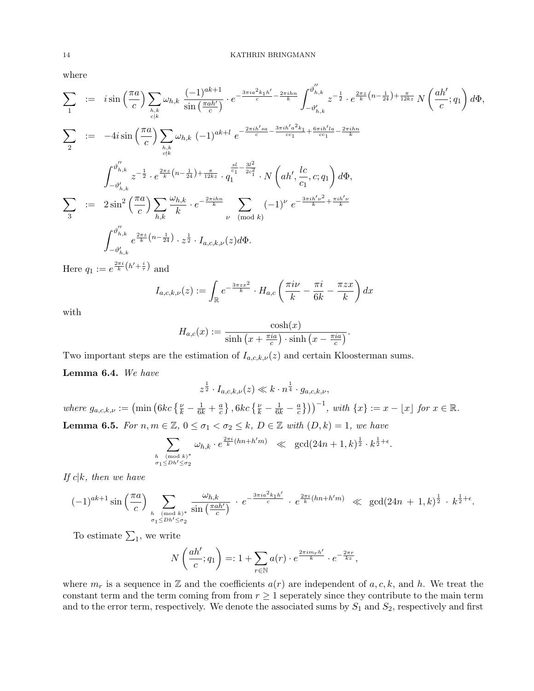where

$$
\sum_{1} := i \sin\left(\frac{\pi a}{c}\right) \sum_{h,k} \omega_{h,k} \frac{(-1)^{ak+1}}{\sin\left(\frac{\pi a h'}{c}\right)} \cdot e^{-\frac{3\pi i a^2 k_1 h'}{c} - \frac{2\pi i h n}{k}} \int_{-\vartheta'_{h,k}}^{\vartheta''_{h,k}} z^{-\frac{1}{2}} \cdot e^{\frac{2\pi z}{k} \left(n - \frac{1}{24}\right) + \frac{\pi}{12kz}} N\left(\frac{ah'}{c}; q_1\right) d\Phi,
$$
\n
$$
\sum_{2} := -4i \sin\left(\frac{\pi a}{c}\right) \sum_{h,k} \omega_{h,k} (-1)^{ak+l} e^{-\frac{2\pi i h' s a}{c} - \frac{3\pi i h' a^2 k_1}{c c_1} + \frac{6\pi i h' l a}{c c_1} - \frac{2\pi i h n}{k}}
$$
\n
$$
\int_{-\vartheta'_{h,k}}^{\vartheta''_{h,k}} z^{-\frac{1}{2}} \cdot e^{\frac{2\pi z}{k} \left(n - \frac{1}{24}\right) + \frac{\pi}{12kz}} \cdot q_1^{\frac{sl}{c_1} - \frac{3l^2}{2c_1^2}} \cdot N\left(ah', \frac{lc}{c_1}, c; q_1\right) d\Phi,
$$
\n
$$
\sum_{3} := 2\sin^2\left(\frac{\pi a}{c}\right) \sum_{h,k} \frac{\omega_{h,k}}{k} \cdot e^{-\frac{2\pi i h n}{k}} \sum_{\nu \pmod{k}} (-1)^{\nu} e^{-\frac{3\pi i h' \nu^2}{k} + \frac{\pi i h' \nu}{k}}
$$
\n
$$
\int_{-\vartheta'_{h,k}}^{\vartheta''_{h,k}} e^{\frac{2\pi z}{k} \left(n - \frac{1}{24}\right)} \cdot z^{\frac{1}{2}} \cdot I_{a,c,k,\nu}(z) d\Phi.
$$

Here  $q_1 := e^{\frac{2\pi i}{k} (h' + \frac{i}{\tau})}$  and

$$
I_{a,c,k,\nu}(z) := \int_{\mathbb{R}} e^{-\frac{3\pi z x^2}{k}} \cdot H_{a,c} \left(\frac{\pi i \nu}{k} - \frac{\pi i}{6k} - \frac{\pi z x}{k}\right) dx
$$

with

$$
H_{a,c}(x) := \frac{\cosh(x)}{\sinh\left(x + \frac{\pi i a}{c}\right) \cdot \sinh\left(x - \frac{\pi i a}{c}\right)}.
$$

Two important steps are the estimation of  $I_{a,c,k,\nu}(z)$  and certain Kloosterman sums.

Lemma 6.4. We have

$$
z^{\frac{1}{2}} \cdot I_{a,c,k,\nu}(z) \ll k \cdot n^{\frac{1}{4}} \cdot g_{a,c,k,\nu},
$$
  
\nwhere  $g_{a,c,k,\nu} := (\min \left( 6kc \left\{ \frac{\nu}{k} - \frac{1}{6k} + \frac{a}{c} \right\}, 6kc \left\{ \frac{\nu}{k} - \frac{1}{6k} - \frac{a}{c} \right\} \right)^{-1}$ , with  $\{x\} := x - \lfloor x \rfloor$  for  $x \in \mathbb{R}$ .  
\n**Lemma 6.5.** For  $n, m \in \mathbb{Z}$ ,  $0 \le \sigma_1 < \sigma_2 \le k$ ,  $D \in \mathbb{Z}$  with  $(D, k) = 1$ , we have\n
$$
\sum_{k=0}^{\infty} \omega_{h,k} \cdot e^{\frac{2\pi i}{k} (hn + h'm)} \ll \gcd(24n + 1, k)^{\frac{1}{2}} \cdot k^{\frac{1}{2} + \epsilon}.
$$

$$
\sum_{\substack{h \pmod{k}^* \\ \sigma_1 \le Dh' \le \sigma_2}} \omega_{h,k} \cdot e^{\frac{2\pi i}{k}(hn+h'm)} \ll \gcd(24n+1,k)^{\frac{1}{2}} \cdot k^{\frac{1}{2}+\epsilon}
$$

If  $c|k$ , then we have

$$
(-1)^{ak+1} \sin\left(\frac{\pi a}{c}\right) \sum_{\substack{h \pmod{k}^* \\ \sigma_1 \le Dh' \le \sigma_2}} \frac{\omega_{h,k}}{\sin\left(\frac{\pi a h'}{c}\right)} \cdot e^{-\frac{3\pi i a^2 k_1 h'}{c}} \cdot e^{\frac{2\pi i}{k}(hn+h'm)} \ll \gcd(24n+1,k)^{\frac{1}{2}} \cdot k^{\frac{1}{2}+\epsilon}.
$$

To estimate  $\Sigma_1$ , we write

$$
N\left(\frac{ah'}{c};q_1\right) =: 1 + \sum_{r \in \mathbb{N}} a(r) \cdot e^{\frac{2\pi i m_r h'}{k}} \cdot e^{-\frac{2\pi r}{kz}},
$$

where  $m_r$  is a sequence in Z and the coefficients  $a(r)$  are independent of a, c, k, and h. We treat the constant term and the term coming from from  $r \geq 1$  seperately since they contribute to the main term and to the error term, respectively. We denote the associated sums by  $S_1$  and  $S_2$ , respectively and first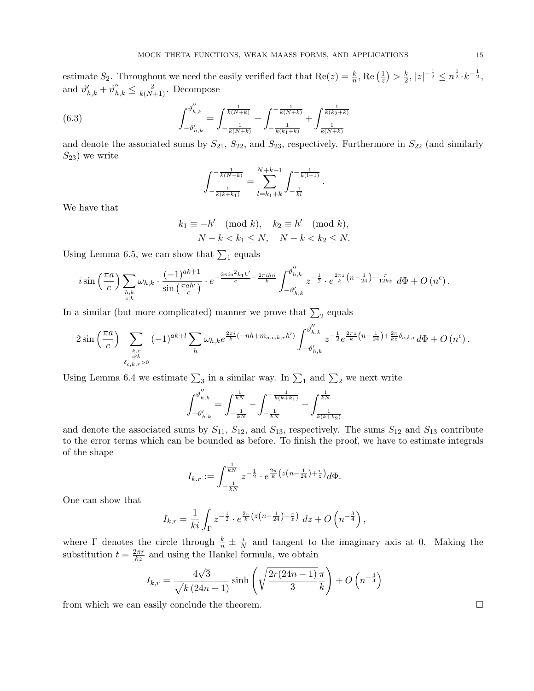estimate  $S_2$ . Throughout we need the easily verified fact that  $\text{Re}(z) = \frac{k}{n}$ ,  $\text{Re}(\frac{1}{z})$  $(\frac{1}{z}) > \frac{k}{2}$  $\frac{k}{2}, |z|^{-\frac{1}{2}} \leq n^{\frac{1}{2}} \cdot k^{-\frac{1}{2}},$ and  $\vartheta'_{h,k} + \vartheta''_{h,k} \leq \frac{2}{k(N+1)}$ . Decompose

(6.3) 
$$
\int_{-\vartheta'_{h,k}}^{\vartheta''_{h,k}} = \int_{-\frac{1}{k(N+k)}}^{\frac{1}{k(N+k)}} + \int_{-\frac{1}{k(k_1+k)}}^{-\frac{1}{k(N+k)}} + \int_{\frac{1}{k(N+k)}}^{\frac{1}{k(k_2+k)}}
$$

and denote the associated sums by  $S_{21}$ ,  $S_{22}$ , and  $S_{23}$ , respectively. Furthermore in  $S_{22}$  (and similarly  $S_{23}$ ) we write

.

$$
\int_{-\frac{1}{k(k+k_1)}}^{-\frac{1}{k(N+k)}} = \sum_{l=k_1+k}^{N+k-1} \int_{-\frac{1}{kl}}^{-\frac{1}{k(l+1)}}
$$

We have that

$$
k_1 \equiv -h' \pmod{k}, \quad k_2 \equiv h' \pmod{k},
$$
  

$$
N - k < k_1 \le N, \quad N - k < k_2 \le N.
$$

Using Lemma 6.5, we can show that  $\sum_1$  equals

$$
i\sin\left(\frac{\pi a}{c}\right)\sum_{\substack{h,k\\c|k}}\omega_{h,k}\cdot\frac{(-1)^{ak+1}}{\sin\left(\frac{\pi a h'}{c}\right)}\cdot e^{-\frac{3\pi i a^2 k_1 h'}{c} - \frac{2\pi i hn}{k}}\int_{-\vartheta'_{h,k}}^{\vartheta''_{h,k}}z^{-\frac{1}{2}}\cdot e^{\frac{2\pi z}{k}\left(n-\frac{1}{24}\right)+\frac{\pi}{12kz}}d\Phi+O\left(n^{\epsilon}\right).
$$

In a similar (but more complicated) manner we prove that  $\sum_2$  equals

$$
2\sin\left(\frac{\pi a}{c}\right) \sum_{\substack{k,r\\c\nmid k\\ \delta_{c,k,r}>0}} (-1)^{ak+l} \sum_{h} \omega_{h,k} e^{\frac{2\pi i}{k}(-nh+m_{a,c,k,r}h')} \int_{-\vartheta'_{h,k}}^{\vartheta''_{h,k}} z^{-\frac{1}{2}} e^{\frac{2\pi z}{k} \left(n-\frac{1}{24}\right)+\frac{2\pi}{kz} \delta_{c,k,r}} d\Phi + O\left(n^{\epsilon}\right).
$$

Using Lemma 6.4 we estimate  $\sum_3$  in a similar way. In  $\sum_1$  and  $\sum_2$  we next write

$$
\int_{-\vartheta_{h,k}^{\prime}}^{\vartheta_{h,k}^{\prime\prime}}=\int_{-\frac{1}{kN}}^{\frac{1}{kN}}-\int_{-\frac{1}{kN}}^{-\frac{1}{k(k+k_1)}}-\int_{\frac{1}{k(k+k_2)}}^{\frac{1}{kN}}
$$

and denote the associated sums by  $S_{11}$ ,  $S_{12}$ , and  $S_{13}$ , respectively. The sums  $S_{12}$  and  $S_{13}$  contribute to the error terms which can be bounded as before. To finish the proof, we have to estimate integrals of the shape

$$
I_{k,r} := \int_{-\frac{1}{kN}}^{\frac{1}{kN}} z^{-\frac{1}{2}} \cdot e^{\frac{2\pi}{k} \left( z\left(n - \frac{1}{24}\right) + \frac{r}{z}\right)} d\Phi.
$$

One can show that

$$
I_{k,r} = \frac{1}{ki} \int_{\Gamma} z^{-\frac{1}{2}} \cdot e^{\frac{2\pi}{k} \left( z \left( n - \frac{1}{24} \right) + \frac{r}{z} \right)} dz + O\left( n^{-\frac{3}{4}} \right),
$$

where  $\Gamma$  denotes the circle through  $\frac{k}{n} \pm \frac{i}{N}$  $\frac{i}{N}$  and tangent to the imaginary axis at 0. Making the substitution  $t = \frac{2\pi r}{kz}$  and using the Hankel formula, we obtain

$$
I_{k,r} = \frac{4\sqrt{3}}{\sqrt{k(24n-1)}} \sinh\left(\sqrt{\frac{2r(24n-1)}{3}}\frac{\pi}{k}\right) + O\left(n^{-\frac{3}{4}}\right)
$$

from which we can easily conclude the theorem.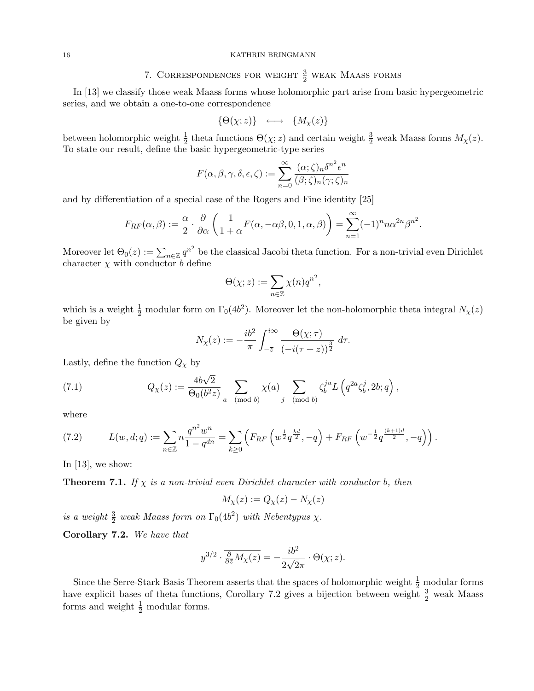# 7. CORRESPONDENCES FOR WEIGHT  $\frac{3}{2}$  weak Maass forms

In [13] we classify those weak Maass forms whose holomorphic part arise from basic hypergeometric series, and we obtain a one-to-one correspondence

$$
\{\Theta(\chi;z)\}\ \ \longleftrightarrow\ \ \{M_\chi(z)\}
$$

between holomorphic weight  $\frac{1}{2}$  theta functions  $\Theta(\chi; z)$  and certain weight  $\frac{3}{2}$  weak Maass forms  $M_{\chi}(z)$ . To state our result, define the basic hypergeometric-type series

$$
F(\alpha, \beta, \gamma, \delta, \epsilon, \zeta) := \sum_{n=0}^{\infty} \frac{(\alpha; \zeta)_n \delta^{n^2} \epsilon^n}{(\beta; \zeta)_n (\gamma; \zeta)_n}
$$

and by differentiation of a special case of the Rogers and Fine identity [25]

$$
F_{RF}(\alpha,\beta) := \frac{\alpha}{2} \cdot \frac{\partial}{\partial \alpha} \left( \frac{1}{1+\alpha} F(\alpha,-\alpha\beta,0,1,\alpha,\beta) \right) = \sum_{n=1}^{\infty} (-1)^n n \alpha^{2n} \beta^{n^2}.
$$

Moreover let  $\Theta_0(z) := \sum_{n \in \mathbb{Z}} q^{n^2}$  be the classical Jacobi theta function. For a non-trivial even Dirichlet character  $\chi$  with conductor b define

$$
\Theta(\chi; z) := \sum_{n \in \mathbb{Z}} \chi(n) q^{n^2},
$$

which is a weight  $\frac{1}{2}$  modular form on  $\Gamma_0(4b^2)$ . Moreover let the non-holomorphic theta integral  $N_{\chi}(z)$ be given by

$$
N_{\chi}(z) := -\frac{ib^2}{\pi} \int_{-\overline{z}}^{i\infty} \frac{\Theta(\chi;\tau)}{\left(-i(\tau+z)\right)^{\frac{3}{2}}} d\tau.
$$

Lastly, define the function  $Q_{\chi}$  by

(7.1) 
$$
Q_{\chi}(z) := \frac{4b\sqrt{2}}{\Theta_0(b^2z)} \sum_{a \pmod{b}} \chi(a) \sum_{j \pmod{b}} \zeta_b^{ja} L\left(q^{2a}\zeta_b^j, 2b; q\right),
$$

where

(7.2) 
$$
L(w, d; q) := \sum_{n \in \mathbb{Z}} n \frac{q^{n^2} w^n}{1 - q^{dn}} = \sum_{k \ge 0} \left( F_{RF} \left( w^{\frac{1}{2}} q^{\frac{kd}{2}}, -q \right) + F_{RF} \left( w^{-\frac{1}{2}} q^{\frac{(k+1)d}{2}}, -q \right) \right).
$$

In  $[13]$ , we show:

**Theorem 7.1.** If  $\chi$  is a non-trivial even Dirichlet character with conductor b, then

$$
M_{\chi}(z) := Q_{\chi}(z) - N_{\chi}(z)
$$

is a weight  $\frac{3}{2}$  weak Maass form on  $\Gamma_0(4b^2)$  with Nebentypus  $\chi$ .

Corollary 7.2. We have that

$$
y^{3/2} \cdot \frac{\partial}{\partial \bar{z}} M_{\chi}(z) = -\frac{ib^2}{2\sqrt{2}\pi} \cdot \Theta(\chi; z).
$$

Since the Serre-Stark Basis Theorem asserts that the spaces of holomorphic weight  $\frac{1}{2}$  modular forms have explicit bases of theta functions, Corollary 7.2 gives a bijection between weight  $\frac{3}{2}$  weak Maass forms and weight  $\frac{1}{2}$  modular forms.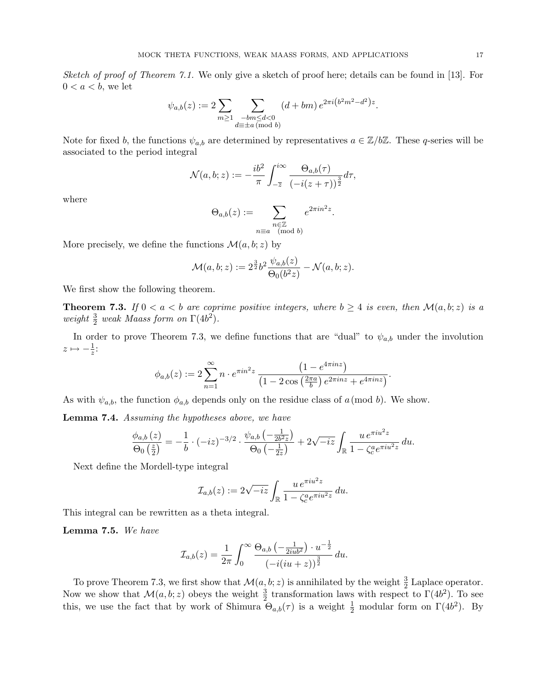Sketch of proof of Theorem 7.1. We only give a sketch of proof here; details can be found in [13]. For  $0 < a < b$ , we let

$$
\psi_{a,b}(z) := 2 \sum_{m \ge 1} \sum_{\substack{-bm \le d < 0 \\ d \equiv \pm a \, (\text{mod } b)}} (d + bm) \, e^{2\pi i \left(b^2 m^2 - d^2\right) z}.
$$

Note for fixed b, the functions  $\psi_{a,b}$  are determined by representatives  $a \in \mathbb{Z}/b\mathbb{Z}$ . These q-series will be associated to the period integral

$$
\mathcal{N}(a,b;z) := -\frac{ib^2}{\pi} \int_{-\overline{z}}^{i\infty} \frac{\Theta_{a,b}(\tau)}{\left(-i(z+\tau)\right)^{\frac{3}{2}}} d\tau,
$$

where

$$
\Theta_{a,b}(z) := \sum_{\substack{n \in \mathbb{Z} \\ n \equiv a \pmod{b}}} e^{2\pi i n^2 z}.
$$

More precisely, we define the functions  $\mathcal{M}(a, b; z)$  by

$$
\mathcal{M}(a,b;z) := 2^{\frac{3}{2}}b^2 \frac{\psi_{a,b}(z)}{\Theta_0(b^2z)} - \mathcal{N}(a,b;z).
$$

We first show the following theorem.

**Theorem 7.3.** If  $0 < a < b$  are coprime positive integers, where  $b \ge 4$  is even, then  $\mathcal{M}(a, b; z)$  is a weight  $\frac{3}{2}$  weak Maass form on  $\Gamma(4b^2)$ .

In order to prove Theorem 7.3, we define functions that are "dual" to  $\psi_{a,b}$  under the involution  $z \mapsto -\frac{1}{z}$ :

$$
\phi_{a,b}(z) := 2 \sum_{n=1}^{\infty} n \cdot e^{\pi i n^2 z} \frac{\left(1 - e^{4\pi i n z}\right)}{\left(1 - 2 \cos\left(\frac{2\pi a}{b}\right) e^{2\pi i n z} + e^{4\pi i n z}\right)}.
$$

As with  $\psi_{a,b}$ , the function  $\phi_{a,b}$  depends only on the residue class of a(mod b). We show.

Lemma 7.4. Assuming the hypotheses above, we have

$$
\frac{\phi_{a,b}(z)}{\Theta_0\left(\frac{z}{2}\right)} = -\frac{1}{b} \cdot (-iz)^{-3/2} \cdot \frac{\psi_{a,b}\left(-\frac{1}{2b^2z}\right)}{\Theta_0\left(-\frac{1}{2z}\right)} + 2\sqrt{-iz} \int_{\mathbb{R}} \frac{u e^{\pi i u^2 z}}{1 - \zeta_c^a e^{\pi i u^2 z}} du.
$$

Next define the Mordell-type integral

$$
\mathcal{I}_{a,b}(z) := 2\sqrt{-iz} \int_{\mathbb{R}} \frac{u e^{\pi i u^2 z}}{1 - \zeta_c^a e^{\pi i u^2 z}} du.
$$

This integral can be rewritten as a theta integral.

Lemma 7.5. We have

$$
\mathcal{I}_{a,b}(z) = \frac{1}{2\pi} \int_0^\infty \frac{\Theta_{a,b}\left(-\frac{1}{2iub^2}\right) \cdot u^{-\frac{1}{2}}}{\left(-i(iu+z)\right)^{\frac{3}{2}}} du.
$$

To prove Theorem 7.3, we first show that  $\mathcal{M}(a, b; z)$  is annihilated by the weight  $\frac{3}{2}$  Laplace operator. Now we show that  $\mathcal{M}(a, b; z)$  obeys the weight  $\frac{3}{2}$  transformation laws with respect to  $\Gamma(4b^2)$ . To see this, we use the fact that by work of Shimura  $\Theta_{a,b}(\tau)$  is a weight  $\frac{1}{2}$  modular form on  $\Gamma(4b^2)$ . By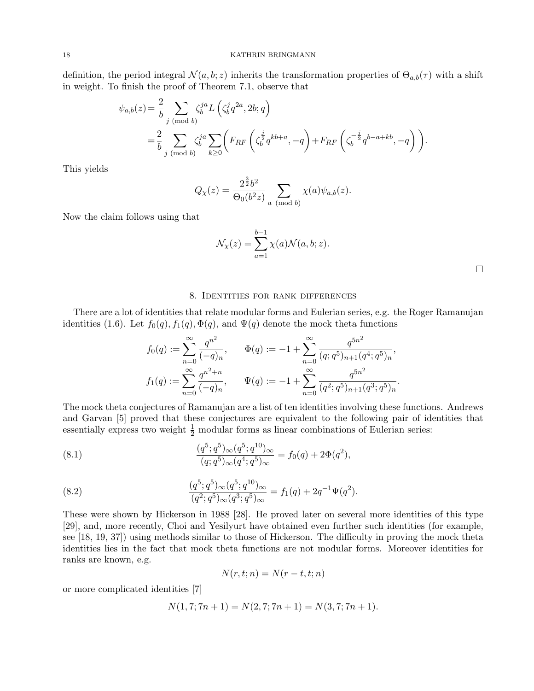definition, the period integral  $\mathcal{N}(a, b; z)$  inherits the transformation properties of  $\Theta_{a,b}(\tau)$  with a shift in weight. To finish the proof of Theorem 7.1, observe that

$$
\psi_{a,b}(z) = \frac{2}{b} \sum_{j \pmod{b}} \zeta_b^{ja} L\left(\zeta_b^j q^{2a}, 2b; q\right)
$$
  
=  $\frac{2}{b} \sum_{j \pmod{b}} \zeta_b^{ja} \sum_{k \ge 0} \left( F_{RF} \left( \zeta_b^{\frac{j}{2}} q^{kb+a}, -q \right) + F_{RF} \left( \zeta_b^{-\frac{j}{2}} q^{b-a+kb}, -q \right) \right).$ 

This yields

$$
Q_{\chi}(z) = \frac{2^{\frac{3}{2}}b^2}{\Theta_0(b^2z)} \sum_{a \pmod{b}} \chi(a)\psi_{a,b}(z).
$$

Now the claim follows using that

$$
\mathcal{N}_{\chi}(z) = \sum_{a=1}^{b-1} \chi(a) \mathcal{N}(a, b; z).
$$

## 8. Identities for rank differences

There are a lot of identities that relate modular forms and Eulerian series, e.g. the Roger Ramanujan identities (1.6). Let  $f_0(q), f_1(q), \Phi(q)$ , and  $\Psi(q)$  denote the mock theta functions

$$
f_0(q) := \sum_{n=0}^{\infty} \frac{q^{n^2}}{(-q)_n}, \qquad \Phi(q) := -1 + \sum_{n=0}^{\infty} \frac{q^{5n^2}}{(q;q^5)_{n+1}(q^4;q^5)_n},
$$

$$
f_1(q) := \sum_{n=0}^{\infty} \frac{q^{n^2+n}}{(-q)_n}, \qquad \Psi(q) := -1 + \sum_{n=0}^{\infty} \frac{q^{5n^2}}{(q^2;q^5)_{n+1}(q^3;q^5)_n}.
$$

The mock theta conjectures of Ramanujan are a list of ten identities involving these functions. Andrews and Garvan [5] proved that these conjectures are equivalent to the following pair of identities that essentially express two weight  $\frac{1}{2}$  modular forms as linear combinations of Eulerian series:

(8.1) 
$$
\frac{(q^5;q^5)_{\infty}(q^5;q^{10})_{\infty}}{(q;q^5)_{\infty}(q^4;q^5)_{\infty}} = f_0(q) + 2\Phi(q^2),
$$

(8.2) 
$$
\frac{(q^5;q^5)_{\infty}(q^5;q^{10})_{\infty}}{(q^2;q^5)_{\infty}(q^3;q^5)_{\infty}} = f_1(q) + 2q^{-1}\Psi(q^2).
$$

These were shown by Hickerson in 1988 [28]. He proved later on several more identities of this type [29], and, more recently, Choi and Yesilyurt have obtained even further such identities (for example, see [18, 19, 37]) using methods similar to those of Hickerson. The difficulty in proving the mock theta identities lies in the fact that mock theta functions are not modular forms. Moreover identities for ranks are known, e.g.

$$
N(r,t;n) = N(r-t,t;n)
$$

or more complicated identities [7]

$$
N(1,7;7n+1) = N(2,7;7n+1) = N(3,7;7n+1).
$$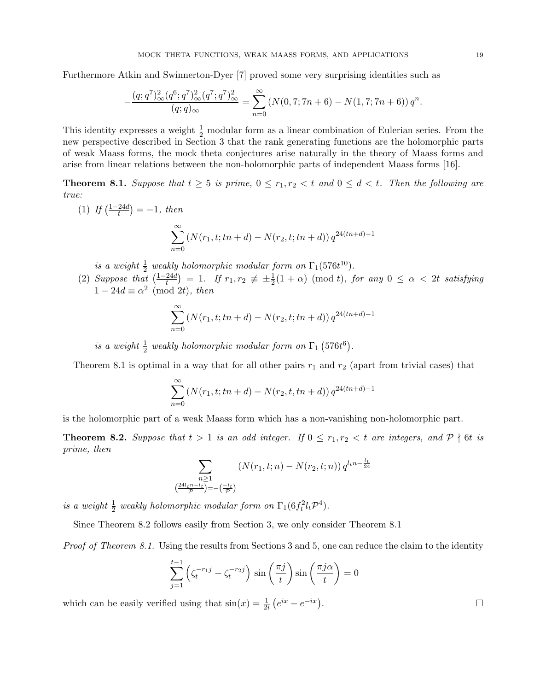Furthermore Atkin and Swinnerton-Dyer [7] proved some very surprising identities such as

$$
-\frac{(q;q^7)_{\infty}^2(q^6;q^7)_{\infty}^2(q^7;q^7)_{\infty}^2}{(q;q)_{\infty}} = \sum_{n=0}^{\infty} (N(0,7;7n+6) - N(1,7;7n+6)) q^n.
$$

This identity expresses a weight  $\frac{1}{2}$  modular form as a linear combination of Eulerian series. From the new perspective described in Section 3 that the rank generating functions are the holomorphic parts of weak Maass forms, the mock theta conjectures arise naturally in the theory of Maass forms and arise from linear relations between the non-holomorphic parts of independent Maass forms [16].

**Theorem 8.1.** Suppose that  $t \geq 5$  is prime,  $0 \leq r_1, r_2 < t$  and  $0 \leq d < t$ . Then the following are true:

 $(1)$  If  $\left(\frac{1-24d}{t}\right)$  $\frac{24d}{t}$  $) = -1, \text{ then}$ 

$$
\sum_{n=0}^{\infty} (N(r_1, t; tn + d) - N(r_2, t; tn + d)) q^{24(tn+d)-1}
$$

is a weight  $\frac{1}{2}$  weakly holomorphic modular form on  $\Gamma_1(576t^{10})$ .

(2) Suppose that  $\left(\frac{1-24d}{t}\right)$  $\left(\frac{24d}{t}\right) = 1$ . If  $r_1, r_2 \not\equiv \pm \frac{1}{2}(1 + \alpha) \pmod{t}$ , for any  $0 \leq \alpha < 2t$  satisfying  $1 - 24d \equiv \alpha^2 \pmod{2t}$ , then

$$
\sum_{n=0}^{\infty} (N(r_1, t; tn + d) - N(r_2, t; tn + d)) q^{24(tn+d)-1}
$$

is a weight  $\frac{1}{2}$  weakly holomorphic modular form on  $\Gamma_1$  (576t<sup>6</sup>).

Theorem 8.1 is optimal in a way that for all other pairs  $r_1$  and  $r_2$  (apart from trivial cases) that

$$
\sum_{n=0}^{\infty} (N(r_1, t; tn + d) - N(r_2, t, tn + d)) q^{24(tn+d)-1}
$$

is the holomorphic part of a weak Maass form which has a non-vanishing non-holomorphic part.

**Theorem 8.2.** Suppose that  $t > 1$  is an odd integer. If  $0 \le r_1, r_2 < t$  are integers, and  $P \nmid 6t$  is prime, then

$$
\sum_{\substack{n \geq 1 \\ (\frac{24l_t n - l_t}{\mathcal{P}}) = -(\frac{-l_t}{\mathcal{P}})}} (N(r_1, t; n) - N(r_2, t; n)) q^{l_t n - \frac{l_t}{24}}
$$

is a weight  $\frac{1}{2}$  weakly holomorphic modular form on  $\Gamma_1(6f_t^2l_t\mathcal{P}^4)$ .

Since Theorem 8.2 follows easily from Section 3, we only consider Theorem 8.1

Proof of Theorem 8.1. Using the results from Sections 3 and 5, one can reduce the claim to the identity

$$
\sum_{j=1}^{t-1} \left( \zeta_t^{-r_1 j} - \zeta_t^{-r_2 j} \right) \sin\left(\frac{\pi j}{t}\right) \sin\left(\frac{\pi j \alpha}{t}\right) = 0
$$

which can be easily verified using that  $sin(x) = \frac{1}{2i} (e^{ix} - e^{-ix})$ 

.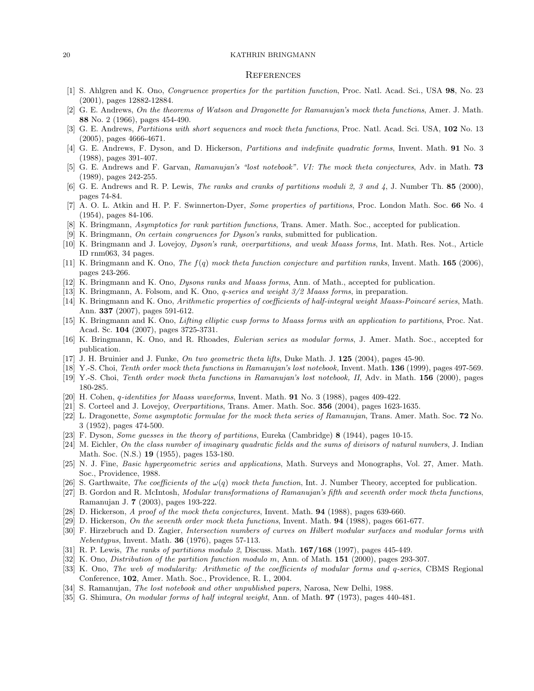## **REFERENCES**

- [1] S. Ahlgren and K. Ono, Congruence properties for the partition function, Proc. Natl. Acad. Sci., USA 98, No. 23 (2001), pages 12882-12884.
- [2] G. E. Andrews, On the theorems of Watson and Dragonette for Ramanujan's mock theta functions, Amer. J. Math. 88 No. 2 (1966), pages 454-490.
- [3] G. E. Andrews, Partitions with short sequences and mock theta functions, Proc. Natl. Acad. Sci. USA, 102 No. 13 (2005), pages 4666-4671.
- [4] G. E. Andrews, F. Dyson, and D. Hickerson, Partitions and indefinite quadratic forms, Invent. Math. **91** No. 3 (1988), pages 391-407.
- [5] G. E. Andrews and F. Garvan, Ramanujan's "lost notebook". VI: The mock theta conjectures, Adv. in Math. 73 (1989), pages 242-255.
- [6] G. E. Andrews and R. P. Lewis, The ranks and cranks of partitions moduli 2, 3 and 4, J. Number Th. 85 (2000), pages 74-84.
- [7] A. O. L. Atkin and H. P. F. Swinnerton-Dyer, Some properties of partitions, Proc. London Math. Soc. 66 No. 4 (1954), pages 84-106.
- [8] K. Bringmann, Asymptotics for rank partition functions, Trans. Amer. Math. Soc., accepted for publication.
- [9] K. Bringmann, On certain congruences for Dyson's ranks, submitted for publication.
- [10] K. Bringmann and J. Lovejoy, *Dyson's rank, overpartitions, and weak Maass forms*, Int. Math. Res. Not., Article ID rnm063, 34 pages.
- [11] K. Bringmann and K. Ono, The  $f(q)$  mock theta function conjecture and partition ranks, Invent. Math. **165** (2006), pages 243-266.
- [12] K. Bringmann and K. Ono, *Dysons ranks and Maass forms*, Ann. of Math., accepted for publication.
- [13] K. Bringmann, A. Folsom, and K. Ono, *q-series and weight 3/2 Maass forms*, in preparation.
- [14] K. Bringmann and K. Ono, Arithmetic properties of coefficients of half-integral weight Maass-Poincaré series, Math. Ann. 337 (2007), pages 591-612.
- [15] K. Bringmann and K. Ono, Lifting elliptic cusp forms to Maass forms with an application to partitions, Proc. Nat. Acad. Sc. 104 (2007), pages 3725-3731.
- [16] K. Bringmann, K. Ono, and R. Rhoades, Eulerian series as modular forms, J. Amer. Math. Soc., accepted for publication.
- [17] J. H. Bruinier and J. Funke, On two geometric theta lifts, Duke Math. J. 125 (2004), pages 45-90.
- [18] Y.-S. Choi, Tenth order mock theta functions in Ramanujan's lost notebook, Invent. Math. 136 (1999), pages 497-569.
- [19] Y.-S. Choi, Tenth order mock theta functions in Ramanujan's lost notebook, II, Adv. in Math. 156 (2000), pages 180-285.
- [20] H. Cohen, *q-identities for Maass waveforms*, Invent. Math. **91** No. 3 (1988), pages 409-422.
- [21] S. Corteel and J. Lovejoy, Overpartitions, Trans. Amer. Math. Soc. 356 (2004), pages 1623-1635.
- [22] L. Dragonette, Some asymptotic formulae for the mock theta series of Ramanujan, Trans. Amer. Math. Soc. 72 No. 3 (1952), pages 474-500.
- [23] F. Dyson, Some guesses in the theory of partitions, Eureka (Cambridge) 8 (1944), pages 10-15.
- [24] M. Eichler, On the class number of imaginary quadratic fields and the sums of divisors of natural numbers, J. Indian Math. Soc. (N.S.) 19 (1955), pages 153-180.
- [25] N. J. Fine, Basic hypergeometric series and applications, Math. Surveys and Monographs, Vol. 27, Amer. Math. Soc., Providence, 1988.
- [26] S. Garthwaite, The coefficients of the  $\omega(q)$  mock theta function, Int. J. Number Theory, accepted for publication.
- [27] B. Gordon and R. McIntosh, Modular transformations of Ramanujan's fifth and seventh order mock theta functions, Ramanujan J. 7 (2003), pages 193-222.
- [28] D. Hickerson, A proof of the mock theta conjectures, Invent. Math. **94** (1988), pages 639-660.
- [29] D. Hickerson, On the seventh order mock theta functions, Invent. Math. **94** (1988), pages 661-677.
- [30] F. Hirzebruch and D. Zagier, Intersection numbers of curves on Hilbert modular surfaces and modular forms with *Nebentypus*, Invent. Math. **36** (1976), pages 57-113.
- [31] R. P. Lewis, The ranks of partitions modulo 2, Discuss. Math. 167/168 (1997), pages 445-449.
- [32] K. Ono, *Distribution of the partition function modulo m*, Ann. of Math. **151** (2000), pages 293-307.
- [33] K. Ono, The web of modularity: Arithmetic of the coefficients of modular forms and q-series, CBMS Regional Conference, 102, Amer. Math. Soc., Providence, R. I., 2004.
- [34] S. Ramanujan, The lost notebook and other unpublished papers, Narosa, New Delhi, 1988.
- [35] G. Shimura, On modular forms of half integral weight, Ann. of Math. **97** (1973), pages 440-481.